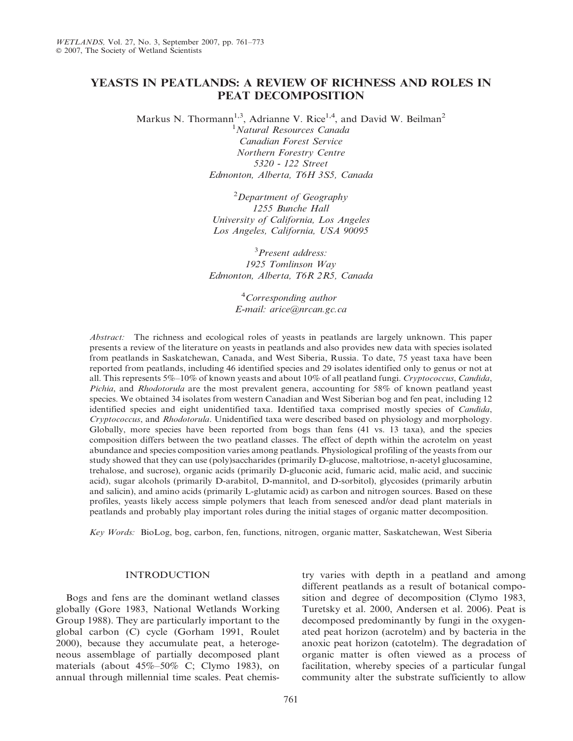# YEASTS IN PEATLANDS: A REVIEW OF RICHNESS AND ROLES IN PEAT DECOMPOSITION

Markus N. Thormann<sup>1,3</sup>, Adrianne V. Rice<sup>1,4</sup>, and David W. Beilman<sup>2</sup>

<sup>1</sup>Natural Resources Canada Canadian Forest Service Northern Forestry Centre 5320 - 122 Street Edmonton, Alberta, T6H 3S5, Canada

<sup>2</sup>Department of Geography 1255 Bunche Hall University of California, Los Angeles Los Angeles, California, USA 90095

<sup>3</sup>Present address: 1925 Tomlinson Way Edmonton, Alberta, T6R 2R5, Canada

> <sup>4</sup>Corresponding author E-mail: arice@nrcan.gc.ca

Abstract: The richness and ecological roles of yeasts in peatlands are largely unknown. This paper presents a review of the literature on yeasts in peatlands and also provides new data with species isolated from peatlands in Saskatchewan, Canada, and West Siberia, Russia. To date, 75 yeast taxa have been reported from peatlands, including 46 identified species and 29 isolates identified only to genus or not at all. This represents  $5\%$ –10% of known yeasts and about 10% of all peatland fungi. Cryptococcus, Candida, Pichia, and Rhodotorula are the most prevalent genera, accounting for 58% of known peatland yeast species. We obtained 34 isolates from western Canadian and West Siberian bog and fen peat, including 12 identified species and eight unidentified taxa. Identified taxa comprised mostly species of *Candida*, Cryptococcus, and Rhodotorula. Unidentified taxa were described based on physiology and morphology. Globally, more species have been reported from bogs than fens (41 vs. 13 taxa), and the species composition differs between the two peatland classes. The effect of depth within the acrotelm on yeast abundance and species composition varies among peatlands. Physiological profiling of the yeasts from our study showed that they can use (poly)saccharides (primarily D-glucose, maltotriose, n-acetyl glucosamine, trehalose, and sucrose), organic acids (primarily D-gluconic acid, fumaric acid, malic acid, and succinic acid), sugar alcohols (primarily D-arabitol, D-mannitol, and D-sorbitol), glycosides (primarily arbutin and salicin), and amino acids (primarily L-glutamic acid) as carbon and nitrogen sources. Based on these profiles, yeasts likely access simple polymers that leach from senesced and/or dead plant materials in peatlands and probably play important roles during the initial stages of organic matter decomposition.

Key Words: BioLog, bog, carbon, fen, functions, nitrogen, organic matter, Saskatchewan, West Siberia

## INTRODUCTION

Bogs and fens are the dominant wetland classes globally (Gore 1983, National Wetlands Working Group 1988). They are particularly important to the global carbon (C) cycle (Gorham 1991, Roulet 2000), because they accumulate peat, a heterogeneous assemblage of partially decomposed plant materials (about 45%–50% C; Clymo 1983), on annual through millennial time scales. Peat chemistry varies with depth in a peatland and among different peatlands as a result of botanical composition and degree of decomposition (Clymo 1983, Turetsky et al. 2000, Andersen et al. 2006). Peat is decomposed predominantly by fungi in the oxygenated peat horizon (acrotelm) and by bacteria in the anoxic peat horizon (catotelm). The degradation of organic matter is often viewed as a process of facilitation, whereby species of a particular fungal community alter the substrate sufficiently to allow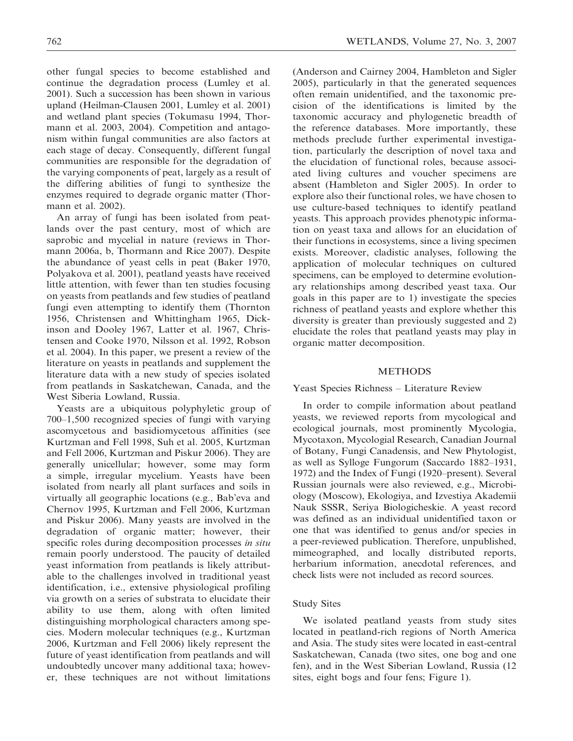other fungal species to become established and continue the degradation process (Lumley et al. 2001). Such a succession has been shown in various upland (Heilman-Clausen 2001, Lumley et al. 2001) and wetland plant species (Tokumasu 1994, Thormann et al. 2003, 2004). Competition and antagonism within fungal communities are also factors at each stage of decay. Consequently, different fungal communities are responsible for the degradation of the varying components of peat, largely as a result of the differing abilities of fungi to synthesize the enzymes required to degrade organic matter (Thormann et al. 2002).

An array of fungi has been isolated from peatlands over the past century, most of which are saprobic and mycelial in nature (reviews in Thormann 2006a, b, Thormann and Rice 2007). Despite the abundance of yeast cells in peat (Baker 1970, Polyakova et al. 2001), peatland yeasts have received little attention, with fewer than ten studies focusing on yeasts from peatlands and few studies of peatland fungi even attempting to identify them (Thornton 1956, Christensen and Whittingham 1965, Dickinson and Dooley 1967, Latter et al. 1967, Christensen and Cooke 1970, Nilsson et al. 1992, Robson et al. 2004). In this paper, we present a review of the literature on yeasts in peatlands and supplement the literature data with a new study of species isolated from peatlands in Saskatchewan, Canada, and the West Siberia Lowland, Russia.

Yeasts are a ubiquitous polyphyletic group of 700–1,500 recognized species of fungi with varying ascomycetous and basidiomycetous affinities (see Kurtzman and Fell 1998, Suh et al. 2005, Kurtzman and Fell 2006, Kurtzman and Piskur 2006). They are generally unicellular; however, some may form a simple, irregular mycelium. Yeasts have been isolated from nearly all plant surfaces and soils in virtually all geographic locations (e.g., Bab'eva and Chernov 1995, Kurtzman and Fell 2006, Kurtzman and Piskur 2006). Many yeasts are involved in the degradation of organic matter; however, their specific roles during decomposition processes in situ remain poorly understood. The paucity of detailed yeast information from peatlands is likely attributable to the challenges involved in traditional yeast identification, i.e., extensive physiological profiling via growth on a series of substrata to elucidate their ability to use them, along with often limited distinguishing morphological characters among species. Modern molecular techniques (e.g., Kurtzman 2006, Kurtzman and Fell 2006) likely represent the future of yeast identification from peatlands and will undoubtedly uncover many additional taxa; however, these techniques are not without limitations

(Anderson and Cairney 2004, Hambleton and Sigler 2005), particularly in that the generated sequences often remain unidentified, and the taxonomic precision of the identifications is limited by the taxonomic accuracy and phylogenetic breadth of the reference databases. More importantly, these methods preclude further experimental investigation, particularly the description of novel taxa and the elucidation of functional roles, because associated living cultures and voucher specimens are absent (Hambleton and Sigler 2005). In order to explore also their functional roles, we have chosen to use culture-based techniques to identify peatland yeasts. This approach provides phenotypic information on yeast taxa and allows for an elucidation of their functions in ecosystems, since a living specimen exists. Moreover, cladistic analyses, following the application of molecular techniques on cultured specimens, can be employed to determine evolutionary relationships among described yeast taxa. Our goals in this paper are to 1) investigate the species richness of peatland yeasts and explore whether this diversity is greater than previously suggested and 2) elucidate the roles that peatland yeasts may play in organic matter decomposition.

#### METHODS

## Yeast Species Richness – Literature Review

In order to compile information about peatland yeasts, we reviewed reports from mycological and ecological journals, most prominently Mycologia, Mycotaxon, Mycologial Research, Canadian Journal of Botany, Fungi Canadensis, and New Phytologist, as well as Sylloge Fungorum (Saccardo 1882–1931, 1972) and the Index of Fungi (1920–present). Several Russian journals were also reviewed, e.g., Microbiology (Moscow), Ekologiya, and Izvestiya Akademii Nauk SSSR, Seriya Biologicheskie. A yeast record was defined as an individual unidentified taxon or one that was identified to genus and/or species in a peer-reviewed publication. Therefore, unpublished, mimeographed, and locally distributed reports, herbarium information, anecdotal references, and check lists were not included as record sources.

## Study Sites

We isolated peatland yeasts from study sites located in peatland-rich regions of North America and Asia. The study sites were located in east-central Saskatchewan, Canada (two sites, one bog and one fen), and in the West Siberian Lowland, Russia (12 sites, eight bogs and four fens; Figure 1).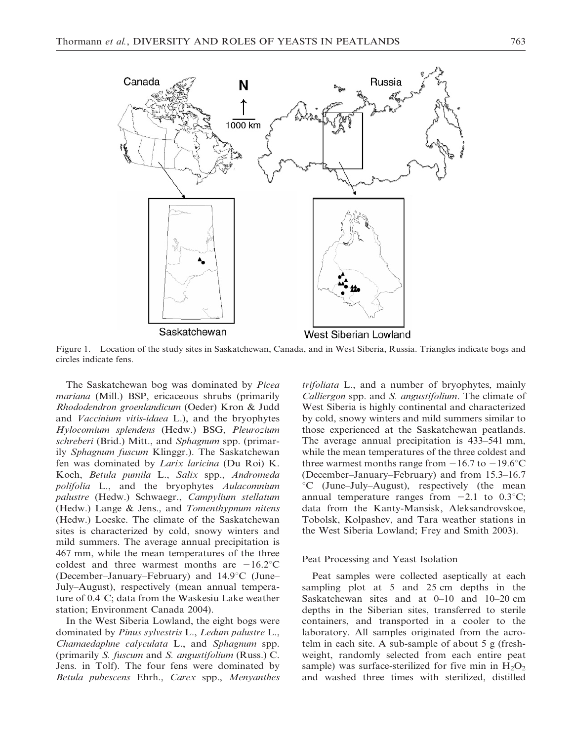

Figure 1. Location of the study sites in Saskatchewan, Canada, and in West Siberia, Russia. Triangles indicate bogs and circles indicate fens.

The Saskatchewan bog was dominated by Picea mariana (Mill.) BSP, ericaceous shrubs (primarily Rhododendron groenlandicum (Oeder) Kron & Judd and Vaccinium vitis-idaea L.), and the bryophytes Hylocomium splendens (Hedw.) BSG, Pleurozium schreberi (Brid.) Mitt., and Sphagnum spp. (primarily Sphagnum fuscum Klinggr.). The Saskatchewan fen was dominated by Larix laricina (Du Roi) K. Koch, Betula pumila L., Salix spp., Andromeda polifolia L., and the bryophytes Aulacomnium palustre (Hedw.) Schwaegr., Campylium stellatum (Hedw.) Lange & Jens., and Tomenthypnum nitens (Hedw.) Loeske. The climate of the Saskatchewan sites is characterized by cold, snowy winters and mild summers. The average annual precipitation is 467 mm, while the mean temperatures of the three coldest and three warmest months are  $-16.2^{\circ}$ C (December–January–February) and  $14.9^{\circ}$ C (June– July–August), respectively (mean annual temperature of  $0.4^{\circ}$ C; data from the Waskesiu Lake weather station; Environment Canada 2004).

In the West Siberia Lowland, the eight bogs were dominated by Pinus sylvestris L., Ledum palustre L., Chamaedaphne calyculata L., and Sphagnum spp. (primarily S. fuscum and S. angustifolium (Russ.) C. Jens. in Tolf). The four fens were dominated by Betula pubescens Ehrh., Carex spp., Menyanthes trifoliata L., and a number of bryophytes, mainly Calliergon spp. and S. angustifolium. The climate of West Siberia is highly continental and characterized by cold, snowy winters and mild summers similar to those experienced at the Saskatchewan peatlands. The average annual precipitation is 433–541 mm, while the mean temperatures of the three coldest and three warmest months range from  $-16.7$  to  $-19.6$ <sup>o</sup>C (December–January–February) and from 15.3–16.7  $\rm{C}$  (June–July–August), respectively (the mean annual temperature ranges from  $-2.1$  to  $0.3^{\circ}$ C; data from the Kanty-Mansisk, Aleksandrovskoe, Tobolsk, Kolpashev, and Tara weather stations in the West Siberia Lowland; Frey and Smith 2003).

#### Peat Processing and Yeast Isolation

Peat samples were collected aseptically at each sampling plot at 5 and 25 cm depths in the Saskatchewan sites and at 0–10 and 10–20 cm depths in the Siberian sites, transferred to sterile containers, and transported in a cooler to the laboratory. All samples originated from the acrotelm in each site. A sub-sample of about 5 g (freshweight, randomly selected from each entire peat sample) was surface-sterilized for five min in  $H_2O_2$ and washed three times with sterilized, distilled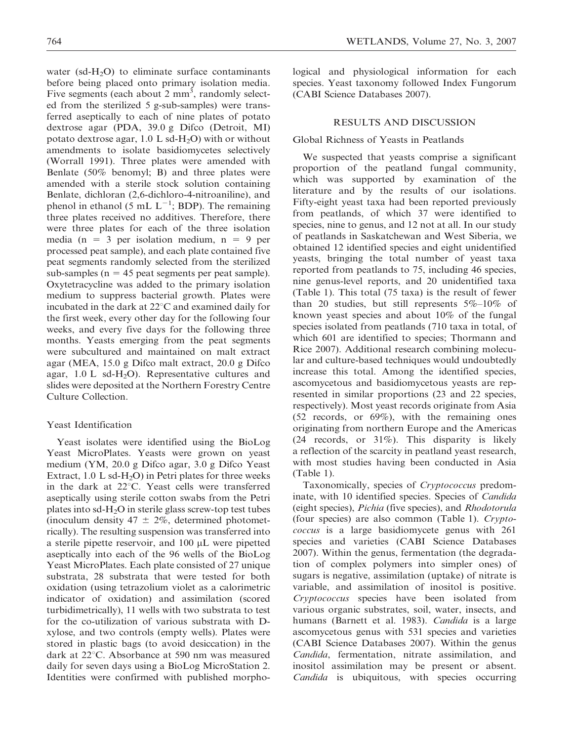water (sd-H<sub>2</sub>O) to eliminate surface contaminants before being placed onto primary isolation media. Five segments (each about  $2 \text{ mm}^3$ , randomly selected from the sterilized 5 g-sub-samples) were transferred aseptically to each of nine plates of potato dextrose agar (PDA, 39.0 g Difco (Detroit, MI) potato dextrose agar,  $1.0$  L sd-H<sub>2</sub>O) with or without amendments to isolate basidiomycetes selectively (Worrall 1991). Three plates were amended with Benlate (50% benomyl; B) and three plates were amended with a sterile stock solution containing Benlate, dichloran (2,6-dichloro-4-nitroaniline), and phenol in ethanol (5 mL  $L^{-1}$ ; BDP). The remaining three plates received no additives. Therefore, there were three plates for each of the three isolation media (n = 3 per isolation medium, n = 9 per processed peat sample), and each plate contained five peat segments randomly selected from the sterilized sub-samples ( $n = 45$  peat segments per peat sample). Oxytetracycline was added to the primary isolation medium to suppress bacterial growth. Plates were incubated in the dark at  $22^{\circ}$ C and examined daily for the first week, every other day for the following four weeks, and every five days for the following three months. Yeasts emerging from the peat segments

were subcultured and maintained on malt extract agar (MEA, 15.0 g Difco malt extract, 20.0 g Difco agar,  $1.0$  L sd-H<sub>2</sub>O). Representative cultures and slides were deposited at the Northern Forestry Centre Culture Collection.

## Yeast Identification

Yeast isolates were identified using the BioLog Yeast MicroPlates. Yeasts were grown on yeast medium (YM, 20.0 g Difco agar, 3.0 g Difco Yeast Extract,  $1.0$  L sd-H<sub>2</sub>O) in Petri plates for three weeks in the dark at  $22^{\circ}$ C. Yeast cells were transferred aseptically using sterile cotton swabs from the Petri plates into  $sd-H_2O$  in sterile glass screw-top test tubes (inoculum density  $47 \pm 2\%$ , determined photometrically). The resulting suspension was transferred into a sterile pipette reservoir, and  $100 \mu L$  were pipetted aseptically into each of the 96 wells of the BioLog Yeast MicroPlates. Each plate consisted of 27 unique substrata, 28 substrata that were tested for both oxidation (using tetrazolium violet as a calorimetric indicator of oxidation) and assimilation (scored turbidimetrically), 11 wells with two substrata to test for the co-utilization of various substrata with Dxylose, and two controls (empty wells). Plates were stored in plastic bags (to avoid desiccation) in the dark at 22°C. Absorbance at 590 nm was measured daily for seven days using a BioLog MicroStation 2. Identities were confirmed with published morphological and physiological information for each species. Yeast taxonomy followed Index Fungorum (CABI Science Databases 2007).

## RESULTS AND DISCUSSION

## Global Richness of Yeasts in Peatlands

We suspected that yeasts comprise a significant proportion of the peatland fungal community, which was supported by examination of the literature and by the results of our isolations. Fifty-eight yeast taxa had been reported previously from peatlands, of which 37 were identified to species, nine to genus, and 12 not at all. In our study of peatlands in Saskatchewan and West Siberia, we obtained 12 identified species and eight unidentified yeasts, bringing the total number of yeast taxa reported from peatlands to 75, including 46 species, nine genus-level reports, and 20 unidentified taxa (Table 1). This total (75 taxa) is the result of fewer than 20 studies, but still represents  $5\% - 10\%$  of known yeast species and about 10% of the fungal species isolated from peatlands (710 taxa in total, of which 601 are identified to species; Thormann and Rice 2007). Additional research combining molecular and culture-based techniques would undoubtedly increase this total. Among the identified species, ascomycetous and basidiomycetous yeasts are represented in similar proportions (23 and 22 species, respectively). Most yeast records originate from Asia (52 records, or 69%), with the remaining ones originating from northern Europe and the Americas (24 records, or 31%). This disparity is likely a reflection of the scarcity in peatland yeast research, with most studies having been conducted in Asia (Table 1).

Taxonomically, species of Cryptococcus predominate, with 10 identified species. Species of Candida (eight species), Pichia (five species), and Rhodotorula (four species) are also common (Table 1). Cryptococcus is a large basidiomycete genus with 261 species and varieties (CABI Science Databases 2007). Within the genus, fermentation (the degradation of complex polymers into simpler ones) of sugars is negative, assimilation (uptake) of nitrate is variable, and assimilation of inositol is positive. Cryptococcus species have been isolated from various organic substrates, soil, water, insects, and humans (Barnett et al. 1983). Candida is a large ascomycetous genus with 531 species and varieties (CABI Science Databases 2007). Within the genus Candida, fermentation, nitrate assimilation, and inositol assimilation may be present or absent. Candida is ubiquitous, with species occurring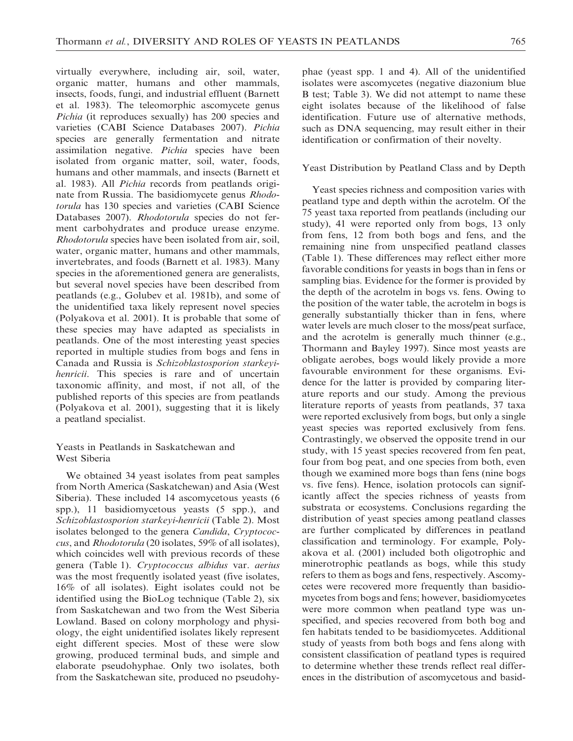virtually everywhere, including air, soil, water, organic matter, humans and other mammals, insects, foods, fungi, and industrial effluent (Barnett et al. 1983). The teleomorphic ascomycete genus Pichia (it reproduces sexually) has 200 species and varieties (CABI Science Databases 2007). Pichia species are generally fermentation and nitrate assimilation negative. Pichia species have been isolated from organic matter, soil, water, foods, humans and other mammals, and insects (Barnett et al. 1983). All Pichia records from peatlands originate from Russia. The basidiomycete genus Rhodotorula has 130 species and varieties (CABI Science Databases 2007). Rhodotorula species do not ferment carbohydrates and produce urease enzyme. Rhodotorula species have been isolated from air, soil, water, organic matter, humans and other mammals, invertebrates, and foods (Barnett et al. 1983). Many species in the aforementioned genera are generalists, but several novel species have been described from peatlands (e.g., Golubev et al. 1981b), and some of the unidentified taxa likely represent novel species (Polyakova et al. 2001). It is probable that some of these species may have adapted as specialists in peatlands. One of the most interesting yeast species reported in multiple studies from bogs and fens in Canada and Russia is Schizoblastosporion starkeyihenricii. This species is rare and of uncertain taxonomic affinity, and most, if not all, of the published reports of this species are from peatlands (Polyakova et al. 2001), suggesting that it is likely a peatland specialist.

## Yeasts in Peatlands in Saskatchewan and West Siberia

We obtained 34 yeast isolates from peat samples from North America (Saskatchewan) and Asia (West Siberia). These included 14 ascomycetous yeasts (6 spp.), 11 basidiomycetous yeasts (5 spp.), and Schizoblastosporion starkeyi-henricii (Table 2). Most isolates belonged to the genera Candida, Cryptococcus, and Rhodotorula (20 isolates, 59% of all isolates), which coincides well with previous records of these genera (Table 1). Cryptococcus albidus var. aerius was the most frequently isolated yeast (five isolates, 16% of all isolates). Eight isolates could not be identified using the BioLog technique (Table 2), six from Saskatchewan and two from the West Siberia Lowland. Based on colony morphology and physiology, the eight unidentified isolates likely represent eight different species. Most of these were slow growing, produced terminal buds, and simple and elaborate pseudohyphae. Only two isolates, both from the Saskatchewan site, produced no pseudohyphae (yeast spp. 1 and 4). All of the unidentified isolates were ascomycetes (negative diazonium blue B test; Table 3). We did not attempt to name these eight isolates because of the likelihood of false identification. Future use of alternative methods, such as DNA sequencing, may result either in their identification or confirmation of their novelty.

## Yeast Distribution by Peatland Class and by Depth

Yeast species richness and composition varies with peatland type and depth within the acrotelm. Of the 75 yeast taxa reported from peatlands (including our study), 41 were reported only from bogs, 13 only from fens, 12 from both bogs and fens, and the remaining nine from unspecified peatland classes (Table 1). These differences may reflect either more favorable conditions for yeasts in bogs than in fens or sampling bias. Evidence for the former is provided by the depth of the acrotelm in bogs vs. fens. Owing to the position of the water table, the acrotelm in bogs is generally substantially thicker than in fens, where water levels are much closer to the moss/peat surface, and the acrotelm is generally much thinner (e.g., Thormann and Bayley 1997). Since most yeasts are obligate aerobes, bogs would likely provide a more favourable environment for these organisms. Evidence for the latter is provided by comparing literature reports and our study. Among the previous literature reports of yeasts from peatlands, 37 taxa were reported exclusively from bogs, but only a single yeast species was reported exclusively from fens. Contrastingly, we observed the opposite trend in our study, with 15 yeast species recovered from fen peat, four from bog peat, and one species from both, even though we examined more bogs than fens (nine bogs vs. five fens). Hence, isolation protocols can significantly affect the species richness of yeasts from substrata or ecosystems. Conclusions regarding the distribution of yeast species among peatland classes are further complicated by differences in peatland classification and terminology. For example, Polyakova et al. (2001) included both oligotrophic and minerotrophic peatlands as bogs, while this study refers to them as bogs and fens, respectively. Ascomycetes were recovered more frequently than basidiomycetes from bogs and fens; however, basidiomycetes were more common when peatland type was unspecified, and species recovered from both bog and fen habitats tended to be basidiomycetes. Additional study of yeasts from both bogs and fens along with consistent classification of peatland types is required to determine whether these trends reflect real differences in the distribution of ascomycetous and basid-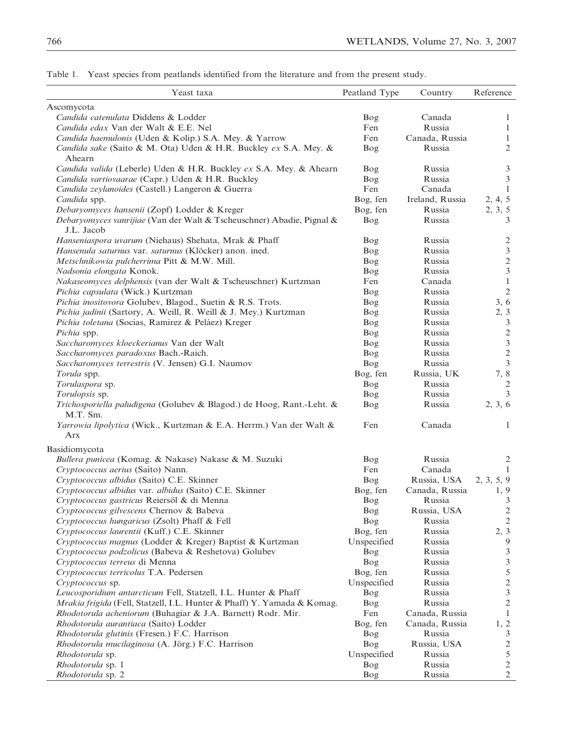| Ascomycota<br>Candida catenulata Diddens & Lodder<br>Canada<br>Bog<br>1<br>Fen<br>Russia<br>Candida edax Van der Walt & E.E. Nel<br>$\mathbf{1}$<br>Canada, Russia<br>Candida haemulonis (Uden & Kolip.) S.A. Mey. & Yarrow<br>Fen<br>$\mathbf{1}$<br>$\overline{2}$<br>Candida sake (Saito & M. Ota) Uden & H.R. Buckley ex S.A. Mey. &<br>Russia<br>Bog<br>Ahearn<br>Candida valida (Leberle) Uden & H.R. Buckley ex S.A. Mey. & Ahearn<br>Russia<br>3<br>Bog<br>Russia<br>3<br>Candida vartiovaarae (Capr.) Uden & H.R. Buckley<br>Bog<br>Fen<br>Canada<br>Candida zeylanoides (Castell.) Langeron & Guerra<br>$\mathbf{1}$<br>Bog, fen<br>Ireland, Russia<br>Candida spp.<br>2, 4, 5<br>Debaryomyces hansenii (Zopf) Lodder & Kreger<br>Bog, fen<br>Russia<br>2, 3, 5<br>Debaryomyces vanrijiae (Van der Walt & Tscheuschner) Abadie, Pignal &<br>Russia<br>3<br>Bog<br>J.L. Jacob<br>Hanseniaspora uvarum (Niehaus) Shehata, Mrak & Phaff<br>Russia<br>Bog<br>2<br>$\mathfrak{Z}$<br>Russia<br>Hansenula saturnus var. saturnus (Klöcker) anon. ined.<br>Bog<br>$\overline{c}$<br>Metschnikowia pulcherrima Pitt & M.W. Mill.<br>Bog<br>Russia<br>3<br>Nadsonia elongata Konok.<br>Russia<br>Bog<br>Nakaseomyces delphensis (van der Walt & Tscheuschner) Kurtzman<br>Fen<br>Canada<br>1<br>$\overline{c}$<br>Pichia capsulata (Wick.) Kurtzman<br>Bog<br>Russia<br>Pichia inositovora Golubev, Blagod., Suetin & R.S. Trots.<br>3, 6<br>Russia<br>Bog<br>2, 3<br>Pichia jadinii (Sartory, A. Weill, R. Weill & J. Mey.) Kurtzman<br>Bog<br>Russia<br>3<br>Pichia toletana (Socias, Ramirez & Peláez) Kreger<br>Russia<br>Bog<br>$\mathfrak{2}$<br>Pichia spp.<br>Russia<br>Bog<br>$\mathfrak{Z}$<br>Saccharomyces kloeckerianus Van der Walt<br>Bog<br>Russia<br>$\overline{c}$<br>Saccharomyces paradoxus Bach.-Raich.<br>Bog<br>Russia<br>3<br>Saccharomyces terrestris (V. Jensen) G.I. Naumov<br>Bog<br>Russia<br>7, 8<br>Bog, fen<br>Russia, UK<br>Torula spp.<br>Torulaspora sp.<br>Bog<br>Russia<br>2<br>3<br>Russia<br>Torulopsis sp.<br>Bog<br>Trichosporiella paludigena (Golubev & Blagod.) de Hoog, Rant.-Leht. &<br>2, 3, 6<br>Bog<br>Russia<br>M.T. Sm.<br>Yarrowia lipolytica (Wick., Kurtzman & E.A. Herrm.) Van der Walt &<br>Fen<br>Canada<br>1<br>Arx<br>Basidiomycota<br>Bullera punicea (Komag. & Nakase) Nakase & M. Suzuki<br>Russia<br>Bog<br>2<br>Canada<br>Cryptococcus aerius (Saito) Nann.<br>Fen<br>$\mathbf{1}$<br>Cryptococcus albidus (Saito) C.E. Skinner<br>Russia, USA<br>Bog<br>2, 3, 5, 9<br>Cryptococcus albidus var. albidus (Saito) C.E. Skinner<br>Bog, fen<br>Canada, Russia<br>1, 9<br>Cryptococcus gastricus Reiersöl & di Menna<br>Bog<br>Russia<br>Cryptococcus gilvescens Chernov & Babeva<br>2<br>Russia, USA<br>Bog<br>$\overline{2}$<br>Bog<br>Russia<br>Cryptococcus hungaricus (Zsolt) Phaff & Fell<br>Cryptococcus laurentii (Kuff.) C.E. Skinner<br>Bog, fen<br>Russia<br>2, 3<br>9<br>Cryptococcus magnus (Lodder & Kreger) Baptist & Kurtzman<br>Unspecified<br>Russia<br>3<br>Cryptococcus podzolicus (Babeva & Reshetova) Golubev<br>Bog<br>Russia<br>Cryptococcus terreus di Menna<br>Bog<br>Russia<br>3<br>5<br>Bog, fen<br>Cryptococcus terricolus T.A. Pedersen<br>Russia<br>$\overline{2}$<br>Unspecified<br>Russia<br>Cryptococcus sp.<br>3<br>Leucosporidium antarcticum Fell, Statzell, I.L. Hunter & Phaff<br>Bog<br>Russia<br>2<br>Mrakia frigida (Fell, Statzell, I.L. Hunter & Phaff) Y. Yamada & Komag.<br>Bog<br>Russia<br>Fen<br>Rhodotorula acheniorum (Buhagiar & J.A. Barnett) Rodr. Mir.<br>Canada, Russia<br>1<br>Rhodotorula aurantiaca (Saito) Lodder<br>Bog, fen<br>Canada, Russia<br>1, 2<br>Rhodotorula glutinis (Fresen.) F.C. Harrison<br>Russia<br>Bog<br>3<br>2<br>Bog<br>Russia, USA<br>Rhodotorula mucilaginosa (A. Jörg.) F.C. Harrison<br>5<br>Unspecified<br>Russia<br>Rhodotorula sp.<br>$\overline{c}$<br>Rhodotorula sp. 1<br>Russia<br>Bog<br>$\overline{2}$<br>Rhodotorula sp. 2<br>Russia<br>Bog | Yeast taxa | Peatland Type | Country | Reference |
|----------------------------------------------------------------------------------------------------------------------------------------------------------------------------------------------------------------------------------------------------------------------------------------------------------------------------------------------------------------------------------------------------------------------------------------------------------------------------------------------------------------------------------------------------------------------------------------------------------------------------------------------------------------------------------------------------------------------------------------------------------------------------------------------------------------------------------------------------------------------------------------------------------------------------------------------------------------------------------------------------------------------------------------------------------------------------------------------------------------------------------------------------------------------------------------------------------------------------------------------------------------------------------------------------------------------------------------------------------------------------------------------------------------------------------------------------------------------------------------------------------------------------------------------------------------------------------------------------------------------------------------------------------------------------------------------------------------------------------------------------------------------------------------------------------------------------------------------------------------------------------------------------------------------------------------------------------------------------------------------------------------------------------------------------------------------------------------------------------------------------------------------------------------------------------------------------------------------------------------------------------------------------------------------------------------------------------------------------------------------------------------------------------------------------------------------------------------------------------------------------------------------------------------------------------------------------------------------------------------------------------------------------------------------------------------------------------------------------------------------------------------------------------------------------------------------------------------------------------------------------------------------------------------------------------------------------------------------------------------------------------------------------------------------------------------------------------------------------------------------------------------------------------------------------------------------------------------------------------------------------------------------------------------------------------------------------------------------------------------------------------------------------------------------------------------------------------------------------------------------------------------------------------------------------------------------------------------------------------------------------------------------------------------------------------------------------------------------------------------------------------------------------------------------------------------------------------------------------------------------------------------------------------------------------------------------------------------------------------------------------------|------------|---------------|---------|-----------|
|                                                                                                                                                                                                                                                                                                                                                                                                                                                                                                                                                                                                                                                                                                                                                                                                                                                                                                                                                                                                                                                                                                                                                                                                                                                                                                                                                                                                                                                                                                                                                                                                                                                                                                                                                                                                                                                                                                                                                                                                                                                                                                                                                                                                                                                                                                                                                                                                                                                                                                                                                                                                                                                                                                                                                                                                                                                                                                                                                                                                                                                                                                                                                                                                                                                                                                                                                                                                                                                                                                                                                                                                                                                                                                                                                                                                                                                                                                                                                                                                          |            |               |         |           |
|                                                                                                                                                                                                                                                                                                                                                                                                                                                                                                                                                                                                                                                                                                                                                                                                                                                                                                                                                                                                                                                                                                                                                                                                                                                                                                                                                                                                                                                                                                                                                                                                                                                                                                                                                                                                                                                                                                                                                                                                                                                                                                                                                                                                                                                                                                                                                                                                                                                                                                                                                                                                                                                                                                                                                                                                                                                                                                                                                                                                                                                                                                                                                                                                                                                                                                                                                                                                                                                                                                                                                                                                                                                                                                                                                                                                                                                                                                                                                                                                          |            |               |         |           |
|                                                                                                                                                                                                                                                                                                                                                                                                                                                                                                                                                                                                                                                                                                                                                                                                                                                                                                                                                                                                                                                                                                                                                                                                                                                                                                                                                                                                                                                                                                                                                                                                                                                                                                                                                                                                                                                                                                                                                                                                                                                                                                                                                                                                                                                                                                                                                                                                                                                                                                                                                                                                                                                                                                                                                                                                                                                                                                                                                                                                                                                                                                                                                                                                                                                                                                                                                                                                                                                                                                                                                                                                                                                                                                                                                                                                                                                                                                                                                                                                          |            |               |         |           |
|                                                                                                                                                                                                                                                                                                                                                                                                                                                                                                                                                                                                                                                                                                                                                                                                                                                                                                                                                                                                                                                                                                                                                                                                                                                                                                                                                                                                                                                                                                                                                                                                                                                                                                                                                                                                                                                                                                                                                                                                                                                                                                                                                                                                                                                                                                                                                                                                                                                                                                                                                                                                                                                                                                                                                                                                                                                                                                                                                                                                                                                                                                                                                                                                                                                                                                                                                                                                                                                                                                                                                                                                                                                                                                                                                                                                                                                                                                                                                                                                          |            |               |         |           |
|                                                                                                                                                                                                                                                                                                                                                                                                                                                                                                                                                                                                                                                                                                                                                                                                                                                                                                                                                                                                                                                                                                                                                                                                                                                                                                                                                                                                                                                                                                                                                                                                                                                                                                                                                                                                                                                                                                                                                                                                                                                                                                                                                                                                                                                                                                                                                                                                                                                                                                                                                                                                                                                                                                                                                                                                                                                                                                                                                                                                                                                                                                                                                                                                                                                                                                                                                                                                                                                                                                                                                                                                                                                                                                                                                                                                                                                                                                                                                                                                          |            |               |         |           |
|                                                                                                                                                                                                                                                                                                                                                                                                                                                                                                                                                                                                                                                                                                                                                                                                                                                                                                                                                                                                                                                                                                                                                                                                                                                                                                                                                                                                                                                                                                                                                                                                                                                                                                                                                                                                                                                                                                                                                                                                                                                                                                                                                                                                                                                                                                                                                                                                                                                                                                                                                                                                                                                                                                                                                                                                                                                                                                                                                                                                                                                                                                                                                                                                                                                                                                                                                                                                                                                                                                                                                                                                                                                                                                                                                                                                                                                                                                                                                                                                          |            |               |         |           |
|                                                                                                                                                                                                                                                                                                                                                                                                                                                                                                                                                                                                                                                                                                                                                                                                                                                                                                                                                                                                                                                                                                                                                                                                                                                                                                                                                                                                                                                                                                                                                                                                                                                                                                                                                                                                                                                                                                                                                                                                                                                                                                                                                                                                                                                                                                                                                                                                                                                                                                                                                                                                                                                                                                                                                                                                                                                                                                                                                                                                                                                                                                                                                                                                                                                                                                                                                                                                                                                                                                                                                                                                                                                                                                                                                                                                                                                                                                                                                                                                          |            |               |         |           |
|                                                                                                                                                                                                                                                                                                                                                                                                                                                                                                                                                                                                                                                                                                                                                                                                                                                                                                                                                                                                                                                                                                                                                                                                                                                                                                                                                                                                                                                                                                                                                                                                                                                                                                                                                                                                                                                                                                                                                                                                                                                                                                                                                                                                                                                                                                                                                                                                                                                                                                                                                                                                                                                                                                                                                                                                                                                                                                                                                                                                                                                                                                                                                                                                                                                                                                                                                                                                                                                                                                                                                                                                                                                                                                                                                                                                                                                                                                                                                                                                          |            |               |         |           |
|                                                                                                                                                                                                                                                                                                                                                                                                                                                                                                                                                                                                                                                                                                                                                                                                                                                                                                                                                                                                                                                                                                                                                                                                                                                                                                                                                                                                                                                                                                                                                                                                                                                                                                                                                                                                                                                                                                                                                                                                                                                                                                                                                                                                                                                                                                                                                                                                                                                                                                                                                                                                                                                                                                                                                                                                                                                                                                                                                                                                                                                                                                                                                                                                                                                                                                                                                                                                                                                                                                                                                                                                                                                                                                                                                                                                                                                                                                                                                                                                          |            |               |         |           |
|                                                                                                                                                                                                                                                                                                                                                                                                                                                                                                                                                                                                                                                                                                                                                                                                                                                                                                                                                                                                                                                                                                                                                                                                                                                                                                                                                                                                                                                                                                                                                                                                                                                                                                                                                                                                                                                                                                                                                                                                                                                                                                                                                                                                                                                                                                                                                                                                                                                                                                                                                                                                                                                                                                                                                                                                                                                                                                                                                                                                                                                                                                                                                                                                                                                                                                                                                                                                                                                                                                                                                                                                                                                                                                                                                                                                                                                                                                                                                                                                          |            |               |         |           |
|                                                                                                                                                                                                                                                                                                                                                                                                                                                                                                                                                                                                                                                                                                                                                                                                                                                                                                                                                                                                                                                                                                                                                                                                                                                                                                                                                                                                                                                                                                                                                                                                                                                                                                                                                                                                                                                                                                                                                                                                                                                                                                                                                                                                                                                                                                                                                                                                                                                                                                                                                                                                                                                                                                                                                                                                                                                                                                                                                                                                                                                                                                                                                                                                                                                                                                                                                                                                                                                                                                                                                                                                                                                                                                                                                                                                                                                                                                                                                                                                          |            |               |         |           |
|                                                                                                                                                                                                                                                                                                                                                                                                                                                                                                                                                                                                                                                                                                                                                                                                                                                                                                                                                                                                                                                                                                                                                                                                                                                                                                                                                                                                                                                                                                                                                                                                                                                                                                                                                                                                                                                                                                                                                                                                                                                                                                                                                                                                                                                                                                                                                                                                                                                                                                                                                                                                                                                                                                                                                                                                                                                                                                                                                                                                                                                                                                                                                                                                                                                                                                                                                                                                                                                                                                                                                                                                                                                                                                                                                                                                                                                                                                                                                                                                          |            |               |         |           |
|                                                                                                                                                                                                                                                                                                                                                                                                                                                                                                                                                                                                                                                                                                                                                                                                                                                                                                                                                                                                                                                                                                                                                                                                                                                                                                                                                                                                                                                                                                                                                                                                                                                                                                                                                                                                                                                                                                                                                                                                                                                                                                                                                                                                                                                                                                                                                                                                                                                                                                                                                                                                                                                                                                                                                                                                                                                                                                                                                                                                                                                                                                                                                                                                                                                                                                                                                                                                                                                                                                                                                                                                                                                                                                                                                                                                                                                                                                                                                                                                          |            |               |         |           |
|                                                                                                                                                                                                                                                                                                                                                                                                                                                                                                                                                                                                                                                                                                                                                                                                                                                                                                                                                                                                                                                                                                                                                                                                                                                                                                                                                                                                                                                                                                                                                                                                                                                                                                                                                                                                                                                                                                                                                                                                                                                                                                                                                                                                                                                                                                                                                                                                                                                                                                                                                                                                                                                                                                                                                                                                                                                                                                                                                                                                                                                                                                                                                                                                                                                                                                                                                                                                                                                                                                                                                                                                                                                                                                                                                                                                                                                                                                                                                                                                          |            |               |         |           |
|                                                                                                                                                                                                                                                                                                                                                                                                                                                                                                                                                                                                                                                                                                                                                                                                                                                                                                                                                                                                                                                                                                                                                                                                                                                                                                                                                                                                                                                                                                                                                                                                                                                                                                                                                                                                                                                                                                                                                                                                                                                                                                                                                                                                                                                                                                                                                                                                                                                                                                                                                                                                                                                                                                                                                                                                                                                                                                                                                                                                                                                                                                                                                                                                                                                                                                                                                                                                                                                                                                                                                                                                                                                                                                                                                                                                                                                                                                                                                                                                          |            |               |         |           |
|                                                                                                                                                                                                                                                                                                                                                                                                                                                                                                                                                                                                                                                                                                                                                                                                                                                                                                                                                                                                                                                                                                                                                                                                                                                                                                                                                                                                                                                                                                                                                                                                                                                                                                                                                                                                                                                                                                                                                                                                                                                                                                                                                                                                                                                                                                                                                                                                                                                                                                                                                                                                                                                                                                                                                                                                                                                                                                                                                                                                                                                                                                                                                                                                                                                                                                                                                                                                                                                                                                                                                                                                                                                                                                                                                                                                                                                                                                                                                                                                          |            |               |         |           |
|                                                                                                                                                                                                                                                                                                                                                                                                                                                                                                                                                                                                                                                                                                                                                                                                                                                                                                                                                                                                                                                                                                                                                                                                                                                                                                                                                                                                                                                                                                                                                                                                                                                                                                                                                                                                                                                                                                                                                                                                                                                                                                                                                                                                                                                                                                                                                                                                                                                                                                                                                                                                                                                                                                                                                                                                                                                                                                                                                                                                                                                                                                                                                                                                                                                                                                                                                                                                                                                                                                                                                                                                                                                                                                                                                                                                                                                                                                                                                                                                          |            |               |         |           |
|                                                                                                                                                                                                                                                                                                                                                                                                                                                                                                                                                                                                                                                                                                                                                                                                                                                                                                                                                                                                                                                                                                                                                                                                                                                                                                                                                                                                                                                                                                                                                                                                                                                                                                                                                                                                                                                                                                                                                                                                                                                                                                                                                                                                                                                                                                                                                                                                                                                                                                                                                                                                                                                                                                                                                                                                                                                                                                                                                                                                                                                                                                                                                                                                                                                                                                                                                                                                                                                                                                                                                                                                                                                                                                                                                                                                                                                                                                                                                                                                          |            |               |         |           |
|                                                                                                                                                                                                                                                                                                                                                                                                                                                                                                                                                                                                                                                                                                                                                                                                                                                                                                                                                                                                                                                                                                                                                                                                                                                                                                                                                                                                                                                                                                                                                                                                                                                                                                                                                                                                                                                                                                                                                                                                                                                                                                                                                                                                                                                                                                                                                                                                                                                                                                                                                                                                                                                                                                                                                                                                                                                                                                                                                                                                                                                                                                                                                                                                                                                                                                                                                                                                                                                                                                                                                                                                                                                                                                                                                                                                                                                                                                                                                                                                          |            |               |         |           |
|                                                                                                                                                                                                                                                                                                                                                                                                                                                                                                                                                                                                                                                                                                                                                                                                                                                                                                                                                                                                                                                                                                                                                                                                                                                                                                                                                                                                                                                                                                                                                                                                                                                                                                                                                                                                                                                                                                                                                                                                                                                                                                                                                                                                                                                                                                                                                                                                                                                                                                                                                                                                                                                                                                                                                                                                                                                                                                                                                                                                                                                                                                                                                                                                                                                                                                                                                                                                                                                                                                                                                                                                                                                                                                                                                                                                                                                                                                                                                                                                          |            |               |         |           |
|                                                                                                                                                                                                                                                                                                                                                                                                                                                                                                                                                                                                                                                                                                                                                                                                                                                                                                                                                                                                                                                                                                                                                                                                                                                                                                                                                                                                                                                                                                                                                                                                                                                                                                                                                                                                                                                                                                                                                                                                                                                                                                                                                                                                                                                                                                                                                                                                                                                                                                                                                                                                                                                                                                                                                                                                                                                                                                                                                                                                                                                                                                                                                                                                                                                                                                                                                                                                                                                                                                                                                                                                                                                                                                                                                                                                                                                                                                                                                                                                          |            |               |         |           |
|                                                                                                                                                                                                                                                                                                                                                                                                                                                                                                                                                                                                                                                                                                                                                                                                                                                                                                                                                                                                                                                                                                                                                                                                                                                                                                                                                                                                                                                                                                                                                                                                                                                                                                                                                                                                                                                                                                                                                                                                                                                                                                                                                                                                                                                                                                                                                                                                                                                                                                                                                                                                                                                                                                                                                                                                                                                                                                                                                                                                                                                                                                                                                                                                                                                                                                                                                                                                                                                                                                                                                                                                                                                                                                                                                                                                                                                                                                                                                                                                          |            |               |         |           |
|                                                                                                                                                                                                                                                                                                                                                                                                                                                                                                                                                                                                                                                                                                                                                                                                                                                                                                                                                                                                                                                                                                                                                                                                                                                                                                                                                                                                                                                                                                                                                                                                                                                                                                                                                                                                                                                                                                                                                                                                                                                                                                                                                                                                                                                                                                                                                                                                                                                                                                                                                                                                                                                                                                                                                                                                                                                                                                                                                                                                                                                                                                                                                                                                                                                                                                                                                                                                                                                                                                                                                                                                                                                                                                                                                                                                                                                                                                                                                                                                          |            |               |         |           |
|                                                                                                                                                                                                                                                                                                                                                                                                                                                                                                                                                                                                                                                                                                                                                                                                                                                                                                                                                                                                                                                                                                                                                                                                                                                                                                                                                                                                                                                                                                                                                                                                                                                                                                                                                                                                                                                                                                                                                                                                                                                                                                                                                                                                                                                                                                                                                                                                                                                                                                                                                                                                                                                                                                                                                                                                                                                                                                                                                                                                                                                                                                                                                                                                                                                                                                                                                                                                                                                                                                                                                                                                                                                                                                                                                                                                                                                                                                                                                                                                          |            |               |         |           |
|                                                                                                                                                                                                                                                                                                                                                                                                                                                                                                                                                                                                                                                                                                                                                                                                                                                                                                                                                                                                                                                                                                                                                                                                                                                                                                                                                                                                                                                                                                                                                                                                                                                                                                                                                                                                                                                                                                                                                                                                                                                                                                                                                                                                                                                                                                                                                                                                                                                                                                                                                                                                                                                                                                                                                                                                                                                                                                                                                                                                                                                                                                                                                                                                                                                                                                                                                                                                                                                                                                                                                                                                                                                                                                                                                                                                                                                                                                                                                                                                          |            |               |         |           |
|                                                                                                                                                                                                                                                                                                                                                                                                                                                                                                                                                                                                                                                                                                                                                                                                                                                                                                                                                                                                                                                                                                                                                                                                                                                                                                                                                                                                                                                                                                                                                                                                                                                                                                                                                                                                                                                                                                                                                                                                                                                                                                                                                                                                                                                                                                                                                                                                                                                                                                                                                                                                                                                                                                                                                                                                                                                                                                                                                                                                                                                                                                                                                                                                                                                                                                                                                                                                                                                                                                                                                                                                                                                                                                                                                                                                                                                                                                                                                                                                          |            |               |         |           |
|                                                                                                                                                                                                                                                                                                                                                                                                                                                                                                                                                                                                                                                                                                                                                                                                                                                                                                                                                                                                                                                                                                                                                                                                                                                                                                                                                                                                                                                                                                                                                                                                                                                                                                                                                                                                                                                                                                                                                                                                                                                                                                                                                                                                                                                                                                                                                                                                                                                                                                                                                                                                                                                                                                                                                                                                                                                                                                                                                                                                                                                                                                                                                                                                                                                                                                                                                                                                                                                                                                                                                                                                                                                                                                                                                                                                                                                                                                                                                                                                          |            |               |         |           |
|                                                                                                                                                                                                                                                                                                                                                                                                                                                                                                                                                                                                                                                                                                                                                                                                                                                                                                                                                                                                                                                                                                                                                                                                                                                                                                                                                                                                                                                                                                                                                                                                                                                                                                                                                                                                                                                                                                                                                                                                                                                                                                                                                                                                                                                                                                                                                                                                                                                                                                                                                                                                                                                                                                                                                                                                                                                                                                                                                                                                                                                                                                                                                                                                                                                                                                                                                                                                                                                                                                                                                                                                                                                                                                                                                                                                                                                                                                                                                                                                          |            |               |         |           |
|                                                                                                                                                                                                                                                                                                                                                                                                                                                                                                                                                                                                                                                                                                                                                                                                                                                                                                                                                                                                                                                                                                                                                                                                                                                                                                                                                                                                                                                                                                                                                                                                                                                                                                                                                                                                                                                                                                                                                                                                                                                                                                                                                                                                                                                                                                                                                                                                                                                                                                                                                                                                                                                                                                                                                                                                                                                                                                                                                                                                                                                                                                                                                                                                                                                                                                                                                                                                                                                                                                                                                                                                                                                                                                                                                                                                                                                                                                                                                                                                          |            |               |         |           |
|                                                                                                                                                                                                                                                                                                                                                                                                                                                                                                                                                                                                                                                                                                                                                                                                                                                                                                                                                                                                                                                                                                                                                                                                                                                                                                                                                                                                                                                                                                                                                                                                                                                                                                                                                                                                                                                                                                                                                                                                                                                                                                                                                                                                                                                                                                                                                                                                                                                                                                                                                                                                                                                                                                                                                                                                                                                                                                                                                                                                                                                                                                                                                                                                                                                                                                                                                                                                                                                                                                                                                                                                                                                                                                                                                                                                                                                                                                                                                                                                          |            |               |         |           |
|                                                                                                                                                                                                                                                                                                                                                                                                                                                                                                                                                                                                                                                                                                                                                                                                                                                                                                                                                                                                                                                                                                                                                                                                                                                                                                                                                                                                                                                                                                                                                                                                                                                                                                                                                                                                                                                                                                                                                                                                                                                                                                                                                                                                                                                                                                                                                                                                                                                                                                                                                                                                                                                                                                                                                                                                                                                                                                                                                                                                                                                                                                                                                                                                                                                                                                                                                                                                                                                                                                                                                                                                                                                                                                                                                                                                                                                                                                                                                                                                          |            |               |         |           |
|                                                                                                                                                                                                                                                                                                                                                                                                                                                                                                                                                                                                                                                                                                                                                                                                                                                                                                                                                                                                                                                                                                                                                                                                                                                                                                                                                                                                                                                                                                                                                                                                                                                                                                                                                                                                                                                                                                                                                                                                                                                                                                                                                                                                                                                                                                                                                                                                                                                                                                                                                                                                                                                                                                                                                                                                                                                                                                                                                                                                                                                                                                                                                                                                                                                                                                                                                                                                                                                                                                                                                                                                                                                                                                                                                                                                                                                                                                                                                                                                          |            |               |         |           |
|                                                                                                                                                                                                                                                                                                                                                                                                                                                                                                                                                                                                                                                                                                                                                                                                                                                                                                                                                                                                                                                                                                                                                                                                                                                                                                                                                                                                                                                                                                                                                                                                                                                                                                                                                                                                                                                                                                                                                                                                                                                                                                                                                                                                                                                                                                                                                                                                                                                                                                                                                                                                                                                                                                                                                                                                                                                                                                                                                                                                                                                                                                                                                                                                                                                                                                                                                                                                                                                                                                                                                                                                                                                                                                                                                                                                                                                                                                                                                                                                          |            |               |         |           |
|                                                                                                                                                                                                                                                                                                                                                                                                                                                                                                                                                                                                                                                                                                                                                                                                                                                                                                                                                                                                                                                                                                                                                                                                                                                                                                                                                                                                                                                                                                                                                                                                                                                                                                                                                                                                                                                                                                                                                                                                                                                                                                                                                                                                                                                                                                                                                                                                                                                                                                                                                                                                                                                                                                                                                                                                                                                                                                                                                                                                                                                                                                                                                                                                                                                                                                                                                                                                                                                                                                                                                                                                                                                                                                                                                                                                                                                                                                                                                                                                          |            |               |         |           |
|                                                                                                                                                                                                                                                                                                                                                                                                                                                                                                                                                                                                                                                                                                                                                                                                                                                                                                                                                                                                                                                                                                                                                                                                                                                                                                                                                                                                                                                                                                                                                                                                                                                                                                                                                                                                                                                                                                                                                                                                                                                                                                                                                                                                                                                                                                                                                                                                                                                                                                                                                                                                                                                                                                                                                                                                                                                                                                                                                                                                                                                                                                                                                                                                                                                                                                                                                                                                                                                                                                                                                                                                                                                                                                                                                                                                                                                                                                                                                                                                          |            |               |         |           |
|                                                                                                                                                                                                                                                                                                                                                                                                                                                                                                                                                                                                                                                                                                                                                                                                                                                                                                                                                                                                                                                                                                                                                                                                                                                                                                                                                                                                                                                                                                                                                                                                                                                                                                                                                                                                                                                                                                                                                                                                                                                                                                                                                                                                                                                                                                                                                                                                                                                                                                                                                                                                                                                                                                                                                                                                                                                                                                                                                                                                                                                                                                                                                                                                                                                                                                                                                                                                                                                                                                                                                                                                                                                                                                                                                                                                                                                                                                                                                                                                          |            |               |         |           |
|                                                                                                                                                                                                                                                                                                                                                                                                                                                                                                                                                                                                                                                                                                                                                                                                                                                                                                                                                                                                                                                                                                                                                                                                                                                                                                                                                                                                                                                                                                                                                                                                                                                                                                                                                                                                                                                                                                                                                                                                                                                                                                                                                                                                                                                                                                                                                                                                                                                                                                                                                                                                                                                                                                                                                                                                                                                                                                                                                                                                                                                                                                                                                                                                                                                                                                                                                                                                                                                                                                                                                                                                                                                                                                                                                                                                                                                                                                                                                                                                          |            |               |         |           |
|                                                                                                                                                                                                                                                                                                                                                                                                                                                                                                                                                                                                                                                                                                                                                                                                                                                                                                                                                                                                                                                                                                                                                                                                                                                                                                                                                                                                                                                                                                                                                                                                                                                                                                                                                                                                                                                                                                                                                                                                                                                                                                                                                                                                                                                                                                                                                                                                                                                                                                                                                                                                                                                                                                                                                                                                                                                                                                                                                                                                                                                                                                                                                                                                                                                                                                                                                                                                                                                                                                                                                                                                                                                                                                                                                                                                                                                                                                                                                                                                          |            |               |         |           |
|                                                                                                                                                                                                                                                                                                                                                                                                                                                                                                                                                                                                                                                                                                                                                                                                                                                                                                                                                                                                                                                                                                                                                                                                                                                                                                                                                                                                                                                                                                                                                                                                                                                                                                                                                                                                                                                                                                                                                                                                                                                                                                                                                                                                                                                                                                                                                                                                                                                                                                                                                                                                                                                                                                                                                                                                                                                                                                                                                                                                                                                                                                                                                                                                                                                                                                                                                                                                                                                                                                                                                                                                                                                                                                                                                                                                                                                                                                                                                                                                          |            |               |         |           |
|                                                                                                                                                                                                                                                                                                                                                                                                                                                                                                                                                                                                                                                                                                                                                                                                                                                                                                                                                                                                                                                                                                                                                                                                                                                                                                                                                                                                                                                                                                                                                                                                                                                                                                                                                                                                                                                                                                                                                                                                                                                                                                                                                                                                                                                                                                                                                                                                                                                                                                                                                                                                                                                                                                                                                                                                                                                                                                                                                                                                                                                                                                                                                                                                                                                                                                                                                                                                                                                                                                                                                                                                                                                                                                                                                                                                                                                                                                                                                                                                          |            |               |         |           |
|                                                                                                                                                                                                                                                                                                                                                                                                                                                                                                                                                                                                                                                                                                                                                                                                                                                                                                                                                                                                                                                                                                                                                                                                                                                                                                                                                                                                                                                                                                                                                                                                                                                                                                                                                                                                                                                                                                                                                                                                                                                                                                                                                                                                                                                                                                                                                                                                                                                                                                                                                                                                                                                                                                                                                                                                                                                                                                                                                                                                                                                                                                                                                                                                                                                                                                                                                                                                                                                                                                                                                                                                                                                                                                                                                                                                                                                                                                                                                                                                          |            |               |         |           |
|                                                                                                                                                                                                                                                                                                                                                                                                                                                                                                                                                                                                                                                                                                                                                                                                                                                                                                                                                                                                                                                                                                                                                                                                                                                                                                                                                                                                                                                                                                                                                                                                                                                                                                                                                                                                                                                                                                                                                                                                                                                                                                                                                                                                                                                                                                                                                                                                                                                                                                                                                                                                                                                                                                                                                                                                                                                                                                                                                                                                                                                                                                                                                                                                                                                                                                                                                                                                                                                                                                                                                                                                                                                                                                                                                                                                                                                                                                                                                                                                          |            |               |         |           |
|                                                                                                                                                                                                                                                                                                                                                                                                                                                                                                                                                                                                                                                                                                                                                                                                                                                                                                                                                                                                                                                                                                                                                                                                                                                                                                                                                                                                                                                                                                                                                                                                                                                                                                                                                                                                                                                                                                                                                                                                                                                                                                                                                                                                                                                                                                                                                                                                                                                                                                                                                                                                                                                                                                                                                                                                                                                                                                                                                                                                                                                                                                                                                                                                                                                                                                                                                                                                                                                                                                                                                                                                                                                                                                                                                                                                                                                                                                                                                                                                          |            |               |         |           |
|                                                                                                                                                                                                                                                                                                                                                                                                                                                                                                                                                                                                                                                                                                                                                                                                                                                                                                                                                                                                                                                                                                                                                                                                                                                                                                                                                                                                                                                                                                                                                                                                                                                                                                                                                                                                                                                                                                                                                                                                                                                                                                                                                                                                                                                                                                                                                                                                                                                                                                                                                                                                                                                                                                                                                                                                                                                                                                                                                                                                                                                                                                                                                                                                                                                                                                                                                                                                                                                                                                                                                                                                                                                                                                                                                                                                                                                                                                                                                                                                          |            |               |         |           |
|                                                                                                                                                                                                                                                                                                                                                                                                                                                                                                                                                                                                                                                                                                                                                                                                                                                                                                                                                                                                                                                                                                                                                                                                                                                                                                                                                                                                                                                                                                                                                                                                                                                                                                                                                                                                                                                                                                                                                                                                                                                                                                                                                                                                                                                                                                                                                                                                                                                                                                                                                                                                                                                                                                                                                                                                                                                                                                                                                                                                                                                                                                                                                                                                                                                                                                                                                                                                                                                                                                                                                                                                                                                                                                                                                                                                                                                                                                                                                                                                          |            |               |         |           |
|                                                                                                                                                                                                                                                                                                                                                                                                                                                                                                                                                                                                                                                                                                                                                                                                                                                                                                                                                                                                                                                                                                                                                                                                                                                                                                                                                                                                                                                                                                                                                                                                                                                                                                                                                                                                                                                                                                                                                                                                                                                                                                                                                                                                                                                                                                                                                                                                                                                                                                                                                                                                                                                                                                                                                                                                                                                                                                                                                                                                                                                                                                                                                                                                                                                                                                                                                                                                                                                                                                                                                                                                                                                                                                                                                                                                                                                                                                                                                                                                          |            |               |         |           |
|                                                                                                                                                                                                                                                                                                                                                                                                                                                                                                                                                                                                                                                                                                                                                                                                                                                                                                                                                                                                                                                                                                                                                                                                                                                                                                                                                                                                                                                                                                                                                                                                                                                                                                                                                                                                                                                                                                                                                                                                                                                                                                                                                                                                                                                                                                                                                                                                                                                                                                                                                                                                                                                                                                                                                                                                                                                                                                                                                                                                                                                                                                                                                                                                                                                                                                                                                                                                                                                                                                                                                                                                                                                                                                                                                                                                                                                                                                                                                                                                          |            |               |         |           |
|                                                                                                                                                                                                                                                                                                                                                                                                                                                                                                                                                                                                                                                                                                                                                                                                                                                                                                                                                                                                                                                                                                                                                                                                                                                                                                                                                                                                                                                                                                                                                                                                                                                                                                                                                                                                                                                                                                                                                                                                                                                                                                                                                                                                                                                                                                                                                                                                                                                                                                                                                                                                                                                                                                                                                                                                                                                                                                                                                                                                                                                                                                                                                                                                                                                                                                                                                                                                                                                                                                                                                                                                                                                                                                                                                                                                                                                                                                                                                                                                          |            |               |         |           |
|                                                                                                                                                                                                                                                                                                                                                                                                                                                                                                                                                                                                                                                                                                                                                                                                                                                                                                                                                                                                                                                                                                                                                                                                                                                                                                                                                                                                                                                                                                                                                                                                                                                                                                                                                                                                                                                                                                                                                                                                                                                                                                                                                                                                                                                                                                                                                                                                                                                                                                                                                                                                                                                                                                                                                                                                                                                                                                                                                                                                                                                                                                                                                                                                                                                                                                                                                                                                                                                                                                                                                                                                                                                                                                                                                                                                                                                                                                                                                                                                          |            |               |         |           |
|                                                                                                                                                                                                                                                                                                                                                                                                                                                                                                                                                                                                                                                                                                                                                                                                                                                                                                                                                                                                                                                                                                                                                                                                                                                                                                                                                                                                                                                                                                                                                                                                                                                                                                                                                                                                                                                                                                                                                                                                                                                                                                                                                                                                                                                                                                                                                                                                                                                                                                                                                                                                                                                                                                                                                                                                                                                                                                                                                                                                                                                                                                                                                                                                                                                                                                                                                                                                                                                                                                                                                                                                                                                                                                                                                                                                                                                                                                                                                                                                          |            |               |         |           |
|                                                                                                                                                                                                                                                                                                                                                                                                                                                                                                                                                                                                                                                                                                                                                                                                                                                                                                                                                                                                                                                                                                                                                                                                                                                                                                                                                                                                                                                                                                                                                                                                                                                                                                                                                                                                                                                                                                                                                                                                                                                                                                                                                                                                                                                                                                                                                                                                                                                                                                                                                                                                                                                                                                                                                                                                                                                                                                                                                                                                                                                                                                                                                                                                                                                                                                                                                                                                                                                                                                                                                                                                                                                                                                                                                                                                                                                                                                                                                                                                          |            |               |         |           |
|                                                                                                                                                                                                                                                                                                                                                                                                                                                                                                                                                                                                                                                                                                                                                                                                                                                                                                                                                                                                                                                                                                                                                                                                                                                                                                                                                                                                                                                                                                                                                                                                                                                                                                                                                                                                                                                                                                                                                                                                                                                                                                                                                                                                                                                                                                                                                                                                                                                                                                                                                                                                                                                                                                                                                                                                                                                                                                                                                                                                                                                                                                                                                                                                                                                                                                                                                                                                                                                                                                                                                                                                                                                                                                                                                                                                                                                                                                                                                                                                          |            |               |         |           |
|                                                                                                                                                                                                                                                                                                                                                                                                                                                                                                                                                                                                                                                                                                                                                                                                                                                                                                                                                                                                                                                                                                                                                                                                                                                                                                                                                                                                                                                                                                                                                                                                                                                                                                                                                                                                                                                                                                                                                                                                                                                                                                                                                                                                                                                                                                                                                                                                                                                                                                                                                                                                                                                                                                                                                                                                                                                                                                                                                                                                                                                                                                                                                                                                                                                                                                                                                                                                                                                                                                                                                                                                                                                                                                                                                                                                                                                                                                                                                                                                          |            |               |         |           |
|                                                                                                                                                                                                                                                                                                                                                                                                                                                                                                                                                                                                                                                                                                                                                                                                                                                                                                                                                                                                                                                                                                                                                                                                                                                                                                                                                                                                                                                                                                                                                                                                                                                                                                                                                                                                                                                                                                                                                                                                                                                                                                                                                                                                                                                                                                                                                                                                                                                                                                                                                                                                                                                                                                                                                                                                                                                                                                                                                                                                                                                                                                                                                                                                                                                                                                                                                                                                                                                                                                                                                                                                                                                                                                                                                                                                                                                                                                                                                                                                          |            |               |         |           |
|                                                                                                                                                                                                                                                                                                                                                                                                                                                                                                                                                                                                                                                                                                                                                                                                                                                                                                                                                                                                                                                                                                                                                                                                                                                                                                                                                                                                                                                                                                                                                                                                                                                                                                                                                                                                                                                                                                                                                                                                                                                                                                                                                                                                                                                                                                                                                                                                                                                                                                                                                                                                                                                                                                                                                                                                                                                                                                                                                                                                                                                                                                                                                                                                                                                                                                                                                                                                                                                                                                                                                                                                                                                                                                                                                                                                                                                                                                                                                                                                          |            |               |         |           |
|                                                                                                                                                                                                                                                                                                                                                                                                                                                                                                                                                                                                                                                                                                                                                                                                                                                                                                                                                                                                                                                                                                                                                                                                                                                                                                                                                                                                                                                                                                                                                                                                                                                                                                                                                                                                                                                                                                                                                                                                                                                                                                                                                                                                                                                                                                                                                                                                                                                                                                                                                                                                                                                                                                                                                                                                                                                                                                                                                                                                                                                                                                                                                                                                                                                                                                                                                                                                                                                                                                                                                                                                                                                                                                                                                                                                                                                                                                                                                                                                          |            |               |         |           |
|                                                                                                                                                                                                                                                                                                                                                                                                                                                                                                                                                                                                                                                                                                                                                                                                                                                                                                                                                                                                                                                                                                                                                                                                                                                                                                                                                                                                                                                                                                                                                                                                                                                                                                                                                                                                                                                                                                                                                                                                                                                                                                                                                                                                                                                                                                                                                                                                                                                                                                                                                                                                                                                                                                                                                                                                                                                                                                                                                                                                                                                                                                                                                                                                                                                                                                                                                                                                                                                                                                                                                                                                                                                                                                                                                                                                                                                                                                                                                                                                          |            |               |         |           |

Table 1. Yeast species from peatlands identified from the literature and from the present study.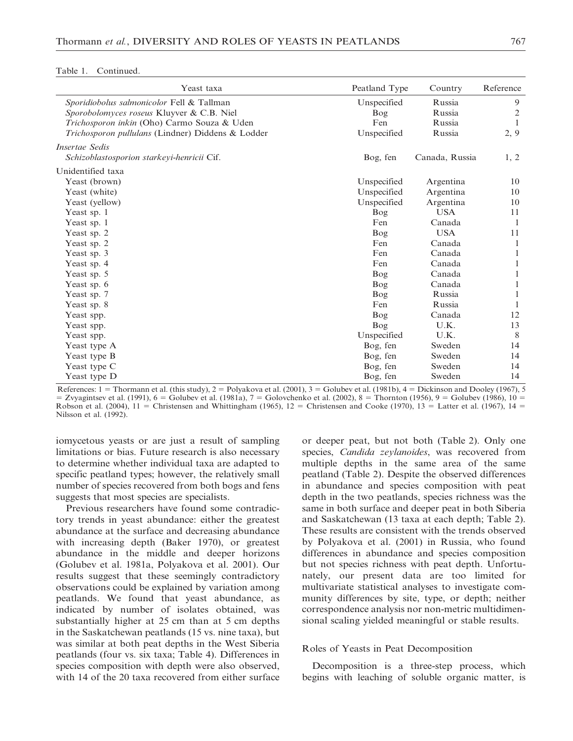| Yeast taxa                                        | Peatland Type | Country        | Reference |
|---------------------------------------------------|---------------|----------------|-----------|
| Sporidiobolus salmonicolor Fell & Tallman         | Unspecified   | Russia         | 9         |
| Sporobolomyces roseus Kluyver & C.B. Niel         | Bog           | Russia         | 2         |
| Trichosporon inkin (Oho) Carmo Souza & Uden       | Fen           | Russia         | 1         |
| Trichosporon pullulans (Lindner) Diddens & Lodder | Unspecified   | Russia         | 2, 9      |
| <b>Insertae Sedis</b>                             |               |                |           |
| Schizoblastosporion starkeyi-henricii Cif.        | Bog, fen      | Canada, Russia | 1, 2      |
| Unidentified taxa                                 |               |                |           |
| Yeast (brown)                                     | Unspecified   | Argentina      | 10        |
| Yeast (white)                                     | Unspecified   | Argentina      | 10        |
| Yeast (yellow)                                    | Unspecified   | Argentina      | 10        |
| Yeast sp. 1                                       | Bog           | <b>USA</b>     | 11        |
| Yeast sp. 1                                       | Fen           | Canada         | -1        |
| Yeast sp. 2                                       | Bog           | <b>USA</b>     | 11        |
| Yeast sp. 2                                       | Fen           | Canada         | 1         |
| Yeast sp. 3                                       | Fen           | Canada         |           |
| Yeast sp. 4                                       | Fen           | Canada         | 1         |
| Yeast sp. 5                                       | Bog           | Canada         |           |
| Yeast sp. 6                                       | Bog           | Canada         | 1         |
| Yeast sp. 7                                       | Bog           | Russia         |           |
| Yeast sp. 8                                       | Fen           | Russia         | 1         |
| Yeast spp.                                        | Bog           | Canada         | 12        |
| Yeast spp.                                        | Bog           | U.K.           | 13        |
| Yeast spp.                                        | Unspecified   | U.K.           | 8         |
| Yeast type A                                      | Bog, fen      | Sweden         | 14        |
| Yeast type B                                      | Bog, fen      | Sweden         | 14        |
| Yeast type C                                      | Bog, fen      | Sweden         | 14        |
| Yeast type D                                      | Bog, fen      | Sweden         | 14        |

#### Table 1. Continued.

References: 1 = Thormann et al. (this study), 2 = Polyakova et al. (2001), 3 = Golubev et al. (1981b), 4 = Dickinson and Dooley (1967), 5  $=$  Zvyagintsev et al. (1991),  $6 =$  Golubev et al. (1981a),  $7 =$  Golovchenko et al. (2002),  $8 =$  Thornton (1956),  $9 =$  Golubev (1986), 10 = Robson et al. (2004),  $11 =$  Christensen and Whittingham (1965),  $12 =$  Christensen and Cooke (1970),  $13 =$  Latter et al. (1967),  $14 =$ Nilsson et al. (1992).

iomycetous yeasts or are just a result of sampling limitations or bias. Future research is also necessary to determine whether individual taxa are adapted to specific peatland types; however, the relatively small number of species recovered from both bogs and fens suggests that most species are specialists.

Previous researchers have found some contradictory trends in yeast abundance: either the greatest abundance at the surface and decreasing abundance with increasing depth (Baker 1970), or greatest abundance in the middle and deeper horizons (Golubev et al. 1981a, Polyakova et al. 2001). Our results suggest that these seemingly contradictory observations could be explained by variation among peatlands. We found that yeast abundance, as indicated by number of isolates obtained, was substantially higher at 25 cm than at 5 cm depths in the Saskatchewan peatlands (15 vs. nine taxa), but was similar at both peat depths in the West Siberia peatlands (four vs. six taxa; Table 4). Differences in species composition with depth were also observed, with 14 of the 20 taxa recovered from either surface or deeper peat, but not both (Table 2). Only one species, Candida zeylanoides, was recovered from multiple depths in the same area of the same peatland (Table 2). Despite the observed differences in abundance and species composition with peat depth in the two peatlands, species richness was the same in both surface and deeper peat in both Siberia and Saskatchewan (13 taxa at each depth; Table 2). These results are consistent with the trends observed by Polyakova et al. (2001) in Russia, who found differences in abundance and species composition but not species richness with peat depth. Unfortunately, our present data are too limited for multivariate statistical analyses to investigate community differences by site, type, or depth; neither correspondence analysis nor non-metric multidimensional scaling yielded meaningful or stable results.

## Roles of Yeasts in Peat Decomposition

Decomposition is a three-step process, which begins with leaching of soluble organic matter, is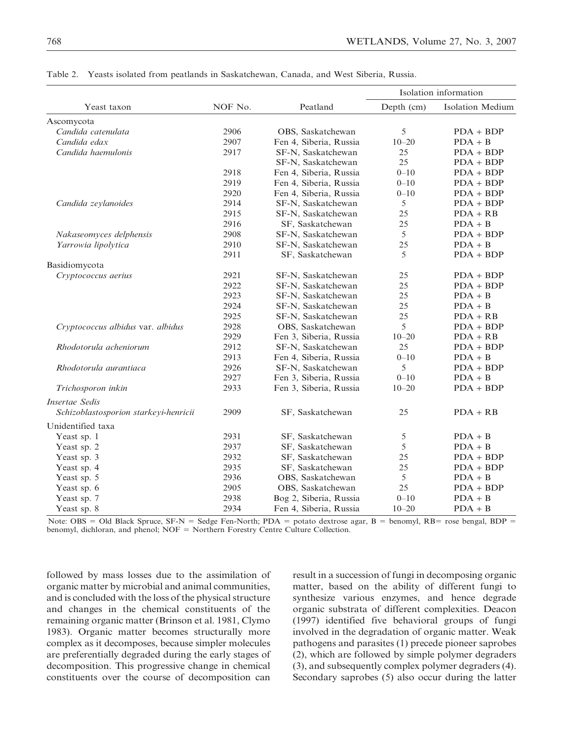|                                       |         |                        | Isolation information |                  |
|---------------------------------------|---------|------------------------|-----------------------|------------------|
| Yeast taxon                           | NOF No. | Peatland               | Depth (cm)            | Isolation Medium |
| Ascomycota                            |         |                        |                       |                  |
| Candida catenulata                    | 2906    | OBS, Saskatchewan      | 5                     | $PDA + BDP$      |
| Candida edax                          | 2907    | Fen 4, Siberia, Russia | $10 - 20$             | $PDA + B$        |
| Candida haemulonis                    | 2917    | SF-N, Saskatchewan     | 25                    | $PDA + BDP$      |
|                                       |         | SF-N, Saskatchewan     | 25                    | $PDA + BDP$      |
|                                       | 2918    | Fen 4, Siberia, Russia | $0 - 10$              | $PDA + BDP$      |
|                                       | 2919    | Fen 4, Siberia, Russia | $0 - 10$              | $PDA + BDP$      |
|                                       | 2920    | Fen 4, Siberia, Russia | $0 - 10$              | $PDA + BDP$      |
| Candida zeylanoides                   | 2914    | SF-N, Saskatchewan     | 5                     | $PDA + BDP$      |
|                                       | 2915    | SF-N, Saskatchewan     | 25                    | $PDA + RB$       |
|                                       | 2916    | SF, Saskatchewan       | 25                    | $PDA + B$        |
| Nakaseomyces delphensis               | 2908    | SF-N, Saskatchewan     | 5                     | $PDA + BDP$      |
| Yarrowia lipolytica                   | 2910    | SF-N, Saskatchewan     | 25                    | $PDA + B$        |
|                                       | 2911    | SF, Saskatchewan       | 5                     | $PDA + BDP$      |
| Basidiomycota                         |         |                        |                       |                  |
| Cryptococcus aerius                   | 2921    | SF-N, Saskatchewan     | 25                    | $PDA + BDP$      |
|                                       | 2922    | SF-N, Saskatchewan     | 25                    | $PDA + BDP$      |
|                                       | 2923    | SF-N, Saskatchewan     | 25                    | $PDA + B$        |
|                                       | 2924    | SF-N. Saskatchewan     | 25                    | $PDA + B$        |
|                                       | 2925    | SF-N, Saskatchewan     | 25                    | $PDA + RB$       |
| Cryptococcus albidus var. albidus     | 2928    | OBS, Saskatchewan      | 5                     | $PDA + BDP$      |
|                                       | 2929    | Fen 3, Siberia, Russia | $10 - 20$             | $PDA + RB$       |
| Rhodotorula acheniorum                | 2912    | SF-N, Saskatchewan     | 25                    | $PDA + BDP$      |
|                                       | 2913    | Fen 4, Siberia, Russia | $0 - 10$              | $PDA + B$        |
| Rhodotorula aurantiaca                | 2926    | SF-N, Saskatchewan     | 5                     | $PDA + BDP$      |
|                                       | 2927    | Fen 3, Siberia, Russia | $0 - 10$              | $PDA + B$        |
| Trichosporon inkin                    | 2933    | Fen 3, Siberia, Russia | $10 - 20$             | $PDA + BDP$      |
| <b>Insertae Sedis</b>                 |         |                        |                       |                  |
| Schizoblastosporion starkeyi-henricii | 2909    | SF, Saskatchewan       | 25                    | $PDA + RB$       |
| Unidentified taxa                     |         |                        |                       |                  |
| Yeast sp. 1                           | 2931    | SF, Saskatchewan       | 5                     | $PDA + B$        |
| Yeast sp. 2                           | 2937    | SF, Saskatchewan       | 5                     | $PDA + B$        |
| Yeast sp. 3                           | 2932    | SF, Saskatchewan       | 25                    | $PDA + BDP$      |
| Yeast sp. 4                           | 2935    | SF, Saskatchewan       | 25                    | $PDA + BDP$      |
| Yeast sp. 5                           | 2936    | OBS, Saskatchewan      | 5                     | $PDA + B$        |
| Yeast sp. 6                           | 2905    | OBS, Saskatchewan      | 25                    | $PDA + BDP$      |
| Yeast sp. 7                           | 2938    | Bog 2, Siberia, Russia | $0 - 10$              | $PDA + B$        |
| Yeast sp. 8                           | 2934    | Fen 4, Siberia, Russia | $10 - 20$             | $PDA + B$        |

Table 2. Yeasts isolated from peatlands in Saskatchewan, Canada, and West Siberia, Russia.

Note: OBS = Old Black Spruce,  $SF-N = Sedge$  Fen-North; PDA = potato dextrose agar, B = benomyl, RB= rose bengal, BDP = benomyl, dichloran, and phenol; NOF = Northern Forestry Centre Culture Collection.

followed by mass losses due to the assimilation of organic matter by microbial and animal communities, and is concluded with the loss of the physical structure and changes in the chemical constituents of the remaining organic matter (Brinson et al. 1981, Clymo 1983). Organic matter becomes structurally more complex as it decomposes, because simpler molecules are preferentially degraded during the early stages of decomposition. This progressive change in chemical constituents over the course of decomposition can

result in a succession of fungi in decomposing organic matter, based on the ability of different fungi to synthesize various enzymes, and hence degrade organic substrata of different complexities. Deacon (1997) identified five behavioral groups of fungi involved in the degradation of organic matter. Weak pathogens and parasites (1) precede pioneer saprobes (2), which are followed by simple polymer degraders (3), and subsequently complex polymer degraders (4). Secondary saprobes (5) also occur during the latter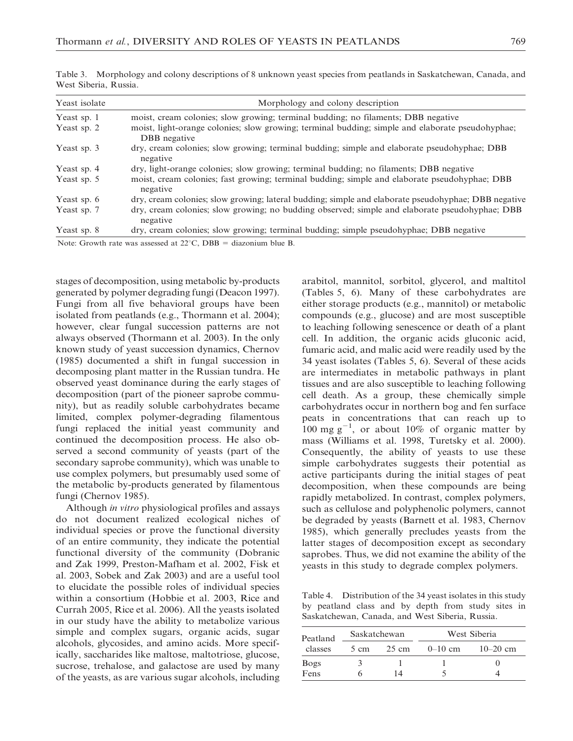| Yeast isolate | Morphology and colony description                                                                                |
|---------------|------------------------------------------------------------------------------------------------------------------|
| Yeast sp. 1   | moist, cream colonies; slow growing; terminal budding; no filaments; DBB negative                                |
| Yeast sp. 2   | moist, light-orange colonies; slow growing; terminal budding; simple and elaborate pseudohyphae;<br>DBB negative |
| Yeast sp. 3   | dry, cream colonies; slow growing; terminal budding; simple and elaborate pseudohyphae; DBB<br>negative          |
| Yeast sp. 4   | dry, light-orange colonies; slow growing; terminal budding; no filaments; DBB negative                           |
| Yeast sp. 5   | moist, cream colonies; fast growing; terminal budding; simple and elaborate pseudohyphae; DBB<br>negative        |
| Yeast sp. 6   | dry, cream colonies; slow growing; lateral budding; simple and elaborate pseudohyphae; DBB negative              |
| Yeast sp. 7   | dry, cream colonies; slow growing; no budding observed; simple and elaborate pseudohyphae; DBB<br>negative       |
| Yeast sp. 8   | dry, cream colonies; slow growing; terminal budding; simple pseudohyphae; DBB negative                           |

Table 3. Morphology and colony descriptions of 8 unknown yeast species from peatlands in Saskatchewan, Canada, and West Siberia, Russia.

Note: Growth rate was assessed at  $22^{\circ}$ C, DBB = diazonium blue B.

stages of decomposition, using metabolic by-products generated by polymer degrading fungi (Deacon 1997). Fungi from all five behavioral groups have been isolated from peatlands (e.g., Thormann et al. 2004); however, clear fungal succession patterns are not always observed (Thormann et al. 2003). In the only known study of yeast succession dynamics, Chernov (1985) documented a shift in fungal succession in decomposing plant matter in the Russian tundra. He observed yeast dominance during the early stages of decomposition (part of the pioneer saprobe community), but as readily soluble carbohydrates became limited, complex polymer-degrading filamentous fungi replaced the initial yeast community and continued the decomposition process. He also observed a second community of yeasts (part of the secondary saprobe community), which was unable to use complex polymers, but presumably used some of the metabolic by-products generated by filamentous fungi (Chernov 1985).

Although in vitro physiological profiles and assays do not document realized ecological niches of individual species or prove the functional diversity of an entire community, they indicate the potential functional diversity of the community (Dobranic and Zak 1999, Preston-Mafham et al. 2002, Fisk et al. 2003, Sobek and Zak 2003) and are a useful tool to elucidate the possible roles of individual species within a consortium (Hobbie et al. 2003, Rice and Currah 2005, Rice et al. 2006). All the yeasts isolated in our study have the ability to metabolize various simple and complex sugars, organic acids, sugar alcohols, glycosides, and amino acids. More specifically, saccharides like maltose, maltotriose, glucose, sucrose, trehalose, and galactose are used by many of the yeasts, as are various sugar alcohols, including arabitol, mannitol, sorbitol, glycerol, and maltitol (Tables 5, 6). Many of these carbohydrates are either storage products (e.g., mannitol) or metabolic compounds (e.g., glucose) and are most susceptible to leaching following senescence or death of a plant cell. In addition, the organic acids gluconic acid, fumaric acid, and malic acid were readily used by the 34 yeast isolates (Tables 5, 6). Several of these acids are intermediates in metabolic pathways in plant tissues and are also susceptible to leaching following cell death. As a group, these chemically simple carbohydrates occur in northern bog and fen surface peats in concentrations that can reach up to  $100 \text{ mg g}^{-1}$ , or about  $10\%$  of organic matter by mass (Williams et al. 1998, Turetsky et al. 2000). Consequently, the ability of yeasts to use these simple carbohydrates suggests their potential as active participants during the initial stages of peat decomposition, when these compounds are being rapidly metabolized. In contrast, complex polymers, such as cellulose and polyphenolic polymers, cannot be degraded by yeasts (Barnett et al. 1983, Chernov 1985), which generally precludes yeasts from the latter stages of decomposition except as secondary saprobes. Thus, we did not examine the ability of the yeasts in this study to degrade complex polymers.

Table 4. Distribution of the 34 yeast isolates in this study by peatland class and by depth from study sites in Saskatchewan, Canada, and West Siberia, Russia.

| Peatland    | Saskatchewan   |       | West Siberia |            |  |
|-------------|----------------|-------|--------------|------------|--|
| classes     | $5 \text{ cm}$ | 25 cm | $0-10$ cm    | $10-20$ cm |  |
| <b>Bogs</b> |                |       |              |            |  |
| Fens        |                | 14    |              |            |  |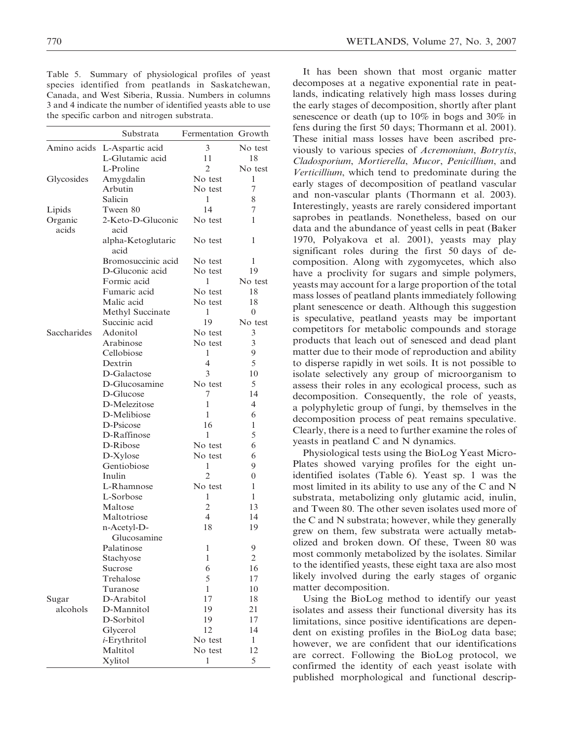Table 5. Summary of physiological profiles of yeast species identified from peatlands in Saskatchewan, Canada, and West Siberia, Russia. Numbers in columns 3 and 4 indicate the number of identified yeasts able to use the specific carbon and nitrogen substrata.

|             | Substrata            | Fermentation Growth |                |
|-------------|----------------------|---------------------|----------------|
| Amino acids | L-Aspartic acid      | 3                   | No test        |
|             | L-Glutamic acid      | 11                  | 18             |
|             | L-Proline            | $\overline{c}$      | No test        |
| Glycosides  | Amygdalin            | No test             | 1              |
|             | Arbutin              | No test             | 7              |
|             | Salicin              | 1                   | 8              |
| Lipids      | Tween 80             | 14                  | 7              |
| Organic     | 2-Keto-D-Gluconic    | No test             | 1              |
| acids       | acid                 |                     |                |
|             | alpha-Ketoglutaric   | No test             | 1              |
|             | acid                 |                     |                |
|             | Bromosuccinic acid   | No test             | 1              |
|             | D-Gluconic acid      | No test             | 19             |
|             | Formic acid          | 1                   | No test        |
|             | Fumaric acid         | No test             | 18             |
|             | Malic acid           | No test             | 18             |
|             | Methyl Succinate     | 1                   | $\overline{0}$ |
|             | Succinic acid        | 19                  | No test        |
| Saccharides | Adonitol             | No test             | 3              |
|             | Arabinose            | No test             | 3              |
|             | Cellobiose           | 1                   | 9              |
|             | Dextrin              | 4                   | 5              |
|             | D-Galactose          | 3                   | 10             |
|             | D-Glucosamine        | No test             | 5              |
|             | D-Glucose            | 7                   | 14             |
|             | D-Melezitose         | 1                   | 4              |
|             | D-Melibiose          | 1                   | 6              |
|             | D-Psicose            | 16                  | 1              |
|             | D-Raffinose          | 1                   | 5              |
|             | D-Ribose             | No test             | 6              |
|             | D-Xylose             | No test             | 6              |
|             | Gentiobiose          | 1                   | 9              |
|             | Inulin               | $\overline{2}$      | $\overline{0}$ |
|             | L-Rhamnose           | No test             | 1              |
|             | L-Sorbose            | 1                   | 1              |
|             | Maltose              | 2                   | 13             |
|             | Maltotriose          | 4                   | 14             |
|             | n-Acetyl-D-          | 18                  | 19             |
|             | Glucosamine          |                     |                |
|             | Palatinose           | $\mathbf{1}$        | $\mathbf{9}$   |
|             | Stachyose            | 1                   | $\overline{2}$ |
|             | Sucrose              | 6                   | 16             |
|             | Trehalose            | 5                   | 17             |
|             | Turanose             | 1                   | 10             |
| Sugar       | D-Arabitol           | 17                  | 18             |
| alcohols    | D-Mannitol           | 19                  | 21             |
|             | D-Sorbitol           | 19                  | 17             |
|             | Glycerol             | 12                  | 14             |
|             | <i>i</i> -Erythritol | No test             | 1              |
|             | Maltitol             | No test             | 12             |
|             | Xylitol              | $\mathbf{1}$        | 5              |
|             |                      |                     |                |

It has been shown that most organic matter decomposes at a negative exponential rate in peatlands, indicating relatively high mass losses during the early stages of decomposition, shortly after plant senescence or death (up to 10% in bogs and 30% in fens during the first 50 days; Thormann et al. 2001). These initial mass losses have been ascribed previously to various species of Acremonium, Botrytis, Cladosporium, Mortierella, Mucor, Penicillium, and Verticillium, which tend to predominate during the early stages of decomposition of peatland vascular and non-vascular plants (Thormann et al. 2003). Interestingly, yeasts are rarely considered important saprobes in peatlands. Nonetheless, based on our data and the abundance of yeast cells in peat (Baker 1970, Polyakova et al. 2001), yeasts may play significant roles during the first 50 days of decomposition. Along with zygomycetes, which also have a proclivity for sugars and simple polymers, yeasts may account for a large proportion of the total mass losses of peatland plants immediately following plant senescence or death. Although this suggestion is speculative, peatland yeasts may be important competitors for metabolic compounds and storage products that leach out of senesced and dead plant matter due to their mode of reproduction and ability to disperse rapidly in wet soils. It is not possible to isolate selectively any group of microorganism to assess their roles in any ecological process, such as decomposition. Consequently, the role of yeasts, a polyphyletic group of fungi, by themselves in the decomposition process of peat remains speculative. Clearly, there is a need to further examine the roles of yeasts in peatland C and N dynamics.

Physiological tests using the BioLog Yeast Micro-Plates showed varying profiles for the eight unidentified isolates (Table 6). Yeast sp. 1 was the most limited in its ability to use any of the C and N substrata, metabolizing only glutamic acid, inulin, and Tween 80. The other seven isolates used more of the C and N substrata; however, while they generally grew on them, few substrata were actually metabolized and broken down. Of these, Tween 80 was most commonly metabolized by the isolates. Similar to the identified yeasts, these eight taxa are also most likely involved during the early stages of organic matter decomposition.

Using the BioLog method to identify our yeast isolates and assess their functional diversity has its limitations, since positive identifications are dependent on existing profiles in the BioLog data base; however, we are confident that our identifications are correct. Following the BioLog protocol, we confirmed the identity of each yeast isolate with published morphological and functional descrip-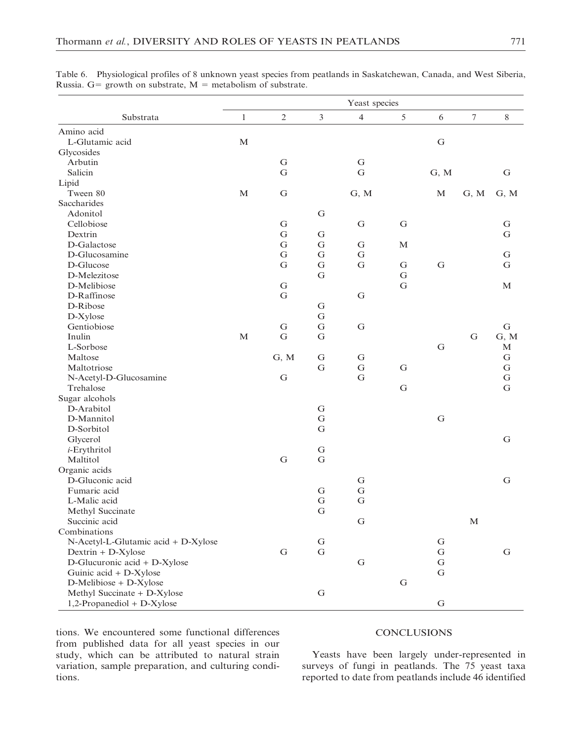|                                     | Yeast species |             |                        |                |             |             |                  |             |
|-------------------------------------|---------------|-------------|------------------------|----------------|-------------|-------------|------------------|-------------|
| Substrata                           | $\,1$         | $\sqrt{2}$  | $\mathfrak{Z}$         | $\overline{4}$ | 5           | 6           | $\boldsymbol{7}$ | $8\,$       |
| Amino acid                          |               |             |                        |                |             |             |                  |             |
| L-Glutamic acid                     | $\mathbf M$   |             |                        |                |             | ${\bf G}$   |                  |             |
| Glycosides                          |               |             |                        |                |             |             |                  |             |
| Arbutin                             |               | ${\bf G}$   |                        | ${\bf G}$      |             |             |                  |             |
| Salicin                             |               | $\mathbf G$ |                        | ${\bf G}$      |             | G, M        |                  | $\mathbf G$ |
| Lipid                               |               |             |                        |                |             |             |                  |             |
| Tween 80                            | $\mathbf M$   | ${\bf G}$   |                        | G, M           |             | $\mathbf M$ | G, M             | G, M        |
| Saccharides                         |               |             |                        |                |             |             |                  |             |
| Adonitol                            |               |             | ${\bf G}$              |                |             |             |                  |             |
| Cellobiose                          |               | ${\bf G}$   |                        | $\mathbf G$    | ${\bf G}$   |             |                  | G           |
| Dextrin                             |               | ${\bf G}$   | G                      |                |             |             |                  | G           |
| D-Galactose                         |               | $\mathbf G$ | ${\bf G}$              | ${\bf G}$      | $\mathbf M$ |             |                  |             |
| D-Glucosamine                       |               | ${\bf G}$   | ${\bf G}$              | ${\bf G}$      |             |             |                  | G           |
| D-Glucose                           |               | $\mathbf G$ | ${\bf G}$              | $\mathbf G$    | ${\bf G}$   | ${\bf G}$   |                  | G           |
| D-Melezitose                        |               |             | $\mathbf G$            |                | ${\bf G}$   |             |                  |             |
| D-Melibiose                         |               | G           |                        |                | ${\bf G}$   |             |                  | M           |
| D-Raffinose                         |               | ${\bf G}$   |                        | G              |             |             |                  |             |
| D-Ribose                            |               |             | G                      |                |             |             |                  |             |
| D-Xylose                            |               |             | $\mathbf G$            |                |             |             |                  |             |
| Gentiobiose                         |               | ${\bf G}$   | ${\bf G}$              | ${\bf G}$      |             |             |                  | ${\bf G}$   |
| Inulin                              | $\mathbf M$   | ${\bf G}$   | ${\bf G}$              |                |             |             | $\mathbf G$      | G, M        |
| L-Sorbose                           |               |             |                        |                |             | ${\bf G}$   |                  | M           |
| Maltose                             |               | G, M        | ${\bf G}$              | ${\bf G}$      |             |             |                  | G           |
| Maltotriose                         |               |             | ${\bf G}$              | ${\bf G}$      | ${\bf G}$   |             |                  | ${\bf G}$   |
| N-Acetyl-D-Glucosamine              |               | G           |                        | $\mathbf G$    |             |             |                  | $\mathbf G$ |
| Trehalose                           |               |             |                        |                | $\mathbf G$ |             |                  | $\mathbf G$ |
| Sugar alcohols                      |               |             |                        |                |             |             |                  |             |
| D-Arabitol                          |               |             | ${\bf G}$              |                |             |             |                  |             |
| D-Mannitol                          |               |             | ${\bf G}$              |                |             | ${\bf G}$   |                  |             |
| D-Sorbitol                          |               |             | $\mathbf G$            |                |             |             |                  |             |
|                                     |               |             |                        |                |             |             |                  | $\mathbf G$ |
| Glycerol                            |               |             |                        |                |             |             |                  |             |
| i-Erythritol<br>Maltitol            |               | ${\bf G}$   | ${\bf G}$<br>${\bf G}$ |                |             |             |                  |             |
|                                     |               |             |                        |                |             |             |                  |             |
| Organic acids                       |               |             |                        |                |             |             |                  |             |
| D-Gluconic acid                     |               |             |                        | G              |             |             |                  | $\mathbf G$ |
| Fumaric acid                        |               |             | G                      | ${\bf G}$      |             |             |                  |             |
| L-Malic acid                        |               |             | ${\bf G}$              | $\mathbf G$    |             |             |                  |             |
| Methyl Succinate                    |               |             | $\mathbf G$            |                |             |             |                  |             |
| Succinic acid                       |               |             |                        | G              |             |             | $\mathbf M$      |             |
| Combinations                        |               |             |                        |                |             |             |                  |             |
| N-Acetyl-L-Glutamic acid + D-Xylose |               |             | G                      |                |             | G           |                  |             |
| Dextrin + D-Xylose                  |               | ${\bf G}$   | $\mathbf G$            |                |             | ${\bf G}$   |                  | G           |
| D-Glucuronic acid + D-Xylose        |               |             |                        | G              |             | ${\bf G}$   |                  |             |
| Guinic acid + D-Xylose              |               |             |                        |                |             | G           |                  |             |
| D-Melibiose + D-Xylose              |               |             |                        |                | ${\bf G}$   |             |                  |             |
| Methyl Succinate + D-Xylose         |               |             | ${\bf G}$              |                |             |             |                  |             |
| 1,2-Propanediol + D-Xylose          |               |             |                        |                |             | ${\bf G}$   |                  |             |

Table 6. Physiological profiles of 8 unknown yeast species from peatlands in Saskatchewan, Canada, and West Siberia, Russia. G= growth on substrate,  $M =$  metabolism of substrate.

tions. We encountered some functional differences from published data for all yeast species in our study, which can be attributed to natural strain variation, sample preparation, and culturing conditions.

## **CONCLUSIONS**

Yeasts have been largely under-represented in surveys of fungi in peatlands. The 75 yeast taxa reported to date from peatlands include 46 identified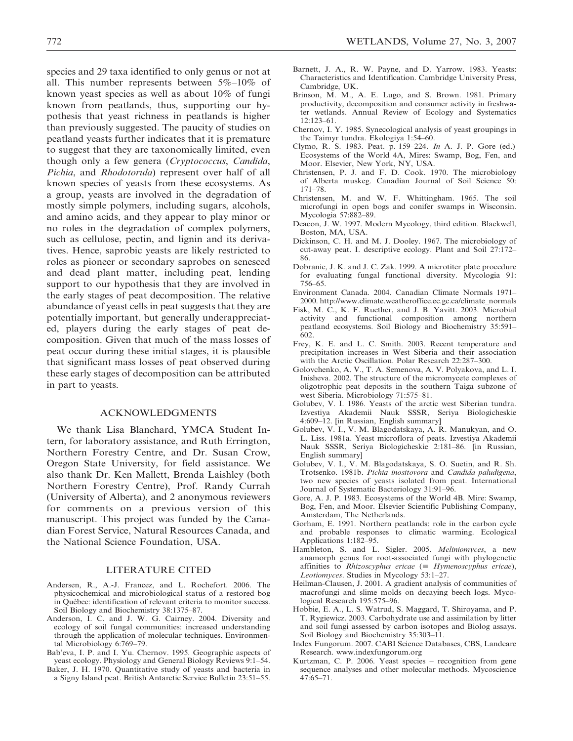all. This number represents between 5%–10% of known yeast species as well as about 10% of fungi known from peatlands, thus, supporting our hypothesis that yeast richness in peatlands is higher than previously suggested. The paucity of studies on peatland yeasts further indicates that it is premature to suggest that they are taxonomically limited, even though only a few genera (Cryptococcus, Candida, Pichia, and Rhodotorula) represent over half of all known species of yeasts from these ecosystems. As a group, yeasts are involved in the degradation of mostly simple polymers, including sugars, alcohols, and amino acids, and they appear to play minor or no roles in the degradation of complex polymers, such as cellulose, pectin, and lignin and its derivatives. Hence, saprobic yeasts are likely restricted to roles as pioneer or secondary saprobes on senesced and dead plant matter, including peat, lending support to our hypothesis that they are involved in the early stages of peat decomposition. The relative abundance of yeast cells in peat suggests that they are potentially important, but generally underappreciated, players during the early stages of peat decomposition. Given that much of the mass losses of peat occur during these initial stages, it is plausible that significant mass losses of peat observed during these early stages of decomposition can be attributed in part to yeasts.

#### ACKNOWLEDGMENTS

We thank Lisa Blanchard, YMCA Student Intern, for laboratory assistance, and Ruth Errington, Northern Forestry Centre, and Dr. Susan Crow, Oregon State University, for field assistance. We also thank Dr. Ken Mallett, Brenda Laishley (both Northern Forestry Centre), Prof. Randy Currah (University of Alberta), and 2 anonymous reviewers for comments on a previous version of this manuscript. This project was funded by the Canadian Forest Service, Natural Resources Canada, and the National Science Foundation, USA.

#### LITERATURE CITED

- Andersen, R., A.-J. Francez, and L. Rochefort. 2006. The physicochemical and microbiological status of a restored bog in Québec: identification of relevant criteria to monitor success. Soil Biology and Biochemistry 38:1375–87.
- Anderson, I. C. and J. W. G. Cairney. 2004. Diversity and ecology of soil fungal communities: increased understanding through the application of molecular techniques. Environmental Microbiology 6:769–79.
- Bab'eva, I. P. and I. Yu. Chernov. 1995. Geographic aspects of yeast ecology. Physiology and General Biology Reviews 9:1–54.
- Baker, J. H. 1970. Quantitative study of yeasts and bacteria in a Signy Island peat. British Antarctic Service Bulletin 23:51–55.
- Barnett, J. A., R. W. Payne, and D. Yarrow. 1983. Yeasts: Characteristics and Identification. Cambridge University Press, Cambridge, UK.
- Brinson, M. M., A. E. Lugo, and S. Brown. 1981. Primary productivity, decomposition and consumer activity in freshwater wetlands. Annual Review of Ecology and Systematics 12:123–61.
- Chernov, I. Y. 1985. Synecological analysis of yeast groupings in the Taimyr tundra. Ekologiya 1:54–60.
- Clymo, R. S. 1983. Peat. p. 159–224. In A. J. P. Gore (ed.) Ecosystems of the World 4A, Mires: Swamp, Bog, Fen, and Moor. Elsevier, New York, NY, USA.
- Christensen, P. J. and F. D. Cook. 1970. The microbiology of Alberta muskeg. Canadian Journal of Soil Science 50: 171–78.
- Christensen, M. and W. F. Whittingham. 1965. The soil microfungi in open bogs and conifer swamps in Wisconsin. Mycologia 57:882–89.
- Deacon, J. W. 1997. Modern Mycology, third edition. Blackwell, Boston, MA, USA.
- Dickinson, C. H. and M. J. Dooley. 1967. The microbiology of cut-away peat. I. descriptive ecology. Plant and Soil 27:172– 86.
- Dobranic, J. K. and J. C. Zak. 1999. A microtiter plate procedure for evaluating fungal functional diversity. Mycologia 91: 756–65.
- Environment Canada. 2004. Canadian Climate Normals 1971– 2000. http://www.climate.weatheroffice.ec.gc.ca/climate\_normals
- Fisk, M. C., K. F. Ruether, and J. B. Yavitt. 2003. Microbial activity and functional composition among northern peatland ecosystems. Soil Biology and Biochemistry 35:591– 602.
- Frey, K. E. and L. C. Smith. 2003. Recent temperature and precipitation increases in West Siberia and their association with the Arctic Oscillation. Polar Research 22:287–300.
- Golovchenko, A. V., T. A. Semenova, A. V. Polyakova, and L. I. Inisheva. 2002. The structure of the micromycete complexes of oligotrophic peat deposits in the southern Taiga subzone of west Siberia. Microbiology 71:575–81.
- Golubev, V. I. 1986. Yeasts of the arctic west Siberian tundra. Izvestiya Akademii Nauk SSSR, Seriya Biologicheskie 4:609–12. [in Russian, English summary]
- Golubev, V. I., V. M. Blagodatskaya, A. R. Manukyan, and O. L. Liss. 1981a. Yeast microflora of peats. Izvestiya Akademii Nauk SSSR, Seriya Biologicheskie 2:181–86. [in Russian, English summary]
- Golubev, V. I., V. M. Blagodatskaya, S. O. Suetin, and R. Sh. Trotsenko. 1981b. Pichia inositovora and Candida paludigena, two new species of yeasts isolated from peat. International Journal of Systematic Bacteriology 31:91–96.
- Gore, A. J. P. 1983. Ecosystems of the World 4B. Mire: Swamp, Bog, Fen, and Moor. Elsevier Scientific Publishing Company, Amsterdam, The Netherlands.
- Gorham, E. 1991. Northern peatlands: role in the carbon cycle and probable responses to climatic warming. Ecological Applications 1:182–95.
- Hambleton, S. and L. Sigler. 2005. Meliniomyces, a new anamorph genus for root-associated fungi with phylogenetic affinities to *Rhizoscyphus ericae* ( $\equiv$  *Hymenoscyphus ericae*), Leotiomyces. Studies in Mycology 53:1–27.
- Heilman-Clausen, J. 2001. A gradient analysis of communities of macrofungi and slime molds on decaying beech logs. Mycological Research 195:575–96.
- Hobbie, E. A., L. S. Watrud, S. Maggard, T. Shiroyama, and P. T. Rygiewicz. 2003. Carbohydrate use and assimilation by litter and soil fungi assessed by carbon isotopes and Biolog assays. Soil Biology and Biochemistry 35:303–11.
- Index Fungorum. 2007. CABI Science Databases, CBS, Landcare Research. www.indexfungorum.org
- Kurtzman, C. P. 2006. Yeast species recognition from gene sequence analyses and other molecular methods. Mycoscience 47:65–71.